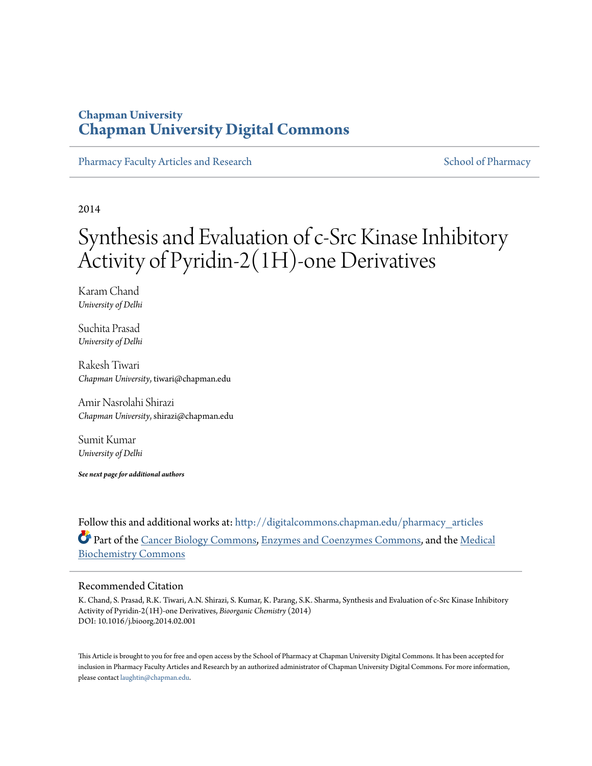### **Chapman University [Chapman University Digital Commons](http://digitalcommons.chapman.edu?utm_source=digitalcommons.chapman.edu%2Fpharmacy_articles%2F162&utm_medium=PDF&utm_campaign=PDFCoverPages)**

[Pharmacy Faculty Articles and Research](http://digitalcommons.chapman.edu/pharmacy_articles?utm_source=digitalcommons.chapman.edu%2Fpharmacy_articles%2F162&utm_medium=PDF&utm_campaign=PDFCoverPages) [School of Pharmacy](http://digitalcommons.chapman.edu/cusp?utm_source=digitalcommons.chapman.edu%2Fpharmacy_articles%2F162&utm_medium=PDF&utm_campaign=PDFCoverPages) School of Pharmacy

2014

# Synthesis and Evaluation of c-Src Kinase Inhibitory Activity of Pyridin-2(1H)-one Derivatives

Karam Chand *University of Delhi*

Suchita Prasad *University of Delhi*

Rakesh Tiwari *Chapman University*, tiwari@chapman.edu

Amir Nasrolahi Shirazi *Chapman University*, shirazi@chapman.edu

Sumit Kumar *University of Delhi*

*See next page for additional authors*

Follow this and additional works at: [http://digitalcommons.chapman.edu/pharmacy\\_articles](http://digitalcommons.chapman.edu/pharmacy_articles?utm_source=digitalcommons.chapman.edu%2Fpharmacy_articles%2F162&utm_medium=PDF&utm_campaign=PDFCoverPages) Part of the [Cancer Biology Commons](http://network.bepress.com/hgg/discipline/12?utm_source=digitalcommons.chapman.edu%2Fpharmacy_articles%2F162&utm_medium=PDF&utm_campaign=PDFCoverPages), [Enzymes and Coenzymes Commons](http://network.bepress.com/hgg/discipline/1009?utm_source=digitalcommons.chapman.edu%2Fpharmacy_articles%2F162&utm_medium=PDF&utm_campaign=PDFCoverPages), and the [Medical](http://network.bepress.com/hgg/discipline/666?utm_source=digitalcommons.chapman.edu%2Fpharmacy_articles%2F162&utm_medium=PDF&utm_campaign=PDFCoverPages) [Biochemistry Commons](http://network.bepress.com/hgg/discipline/666?utm_source=digitalcommons.chapman.edu%2Fpharmacy_articles%2F162&utm_medium=PDF&utm_campaign=PDFCoverPages)

#### Recommended Citation

K. Chand, S. Prasad, R.K. Tiwari, A.N. Shirazi, S. Kumar, K. Parang, S.K. Sharma, Synthesis and Evaluation of c-Src Kinase Inhibitory Activity of Pyridin-2(1H)-one Derivatives, *Bioorganic Chemistry* (2014) DOI: 10.1016/j.bioorg.2014.02.001

This Article is brought to you for free and open access by the School of Pharmacy at Chapman University Digital Commons. It has been accepted for inclusion in Pharmacy Faculty Articles and Research by an authorized administrator of Chapman University Digital Commons. For more information, please contact [laughtin@chapman.edu.](mailto:laughtin@chapman.edu)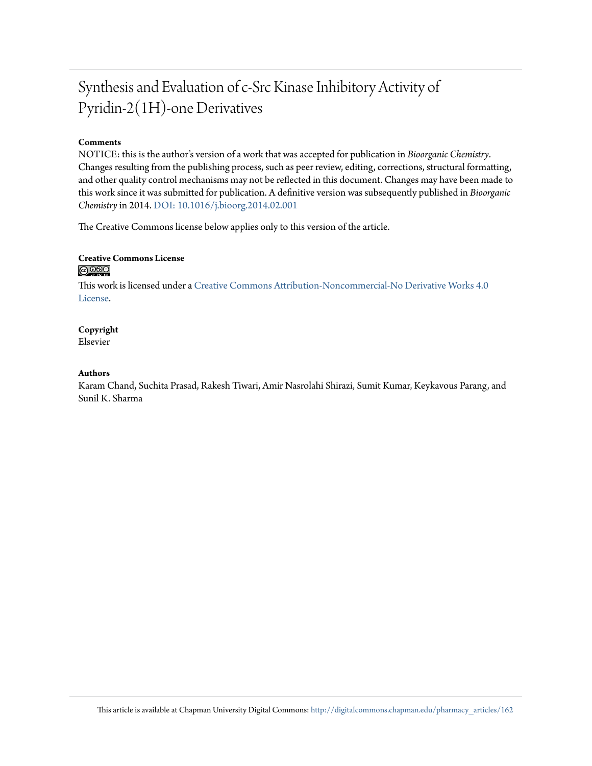## Synthesis and Evaluation of c-Src Kinase Inhibitory Activity of Pyridin-2(1H)-one Derivatives

#### **Comments**

NOTICE: this is the author's version of a work that was accepted for publication in *Bioorganic Chemistry*. Changes resulting from the publishing process, such as peer review, editing, corrections, structural formatting, and other quality control mechanisms may not be reflected in this document. Changes may have been made to this work since it was submitted for publication. A definitive version was subsequently published in *Bioorganic Chemistry*in 2014. [DOI: 10.1016/j.bioorg.2014.02.001](http://dx.doi.org/10.1016/j.bioorg.2014.02.001)

The Creative Commons license below applies only to this version of the article.

#### **Creative Commons License**  $\bigcirc$   $\circ$

This work is licensed under a [Creative Commons Attribution-Noncommercial-No Derivative Works 4.0](http://creativecommons.org/licenses/by-nc-nd/4.0/) [License.](http://creativecommons.org/licenses/by-nc-nd/4.0/)

### **Copyright**

Elsevier

#### **Authors**

Karam Chand, Suchita Prasad, Rakesh Tiwari, Amir Nasrolahi Shirazi, Sumit Kumar, Keykavous Parang, and Sunil K. Sharma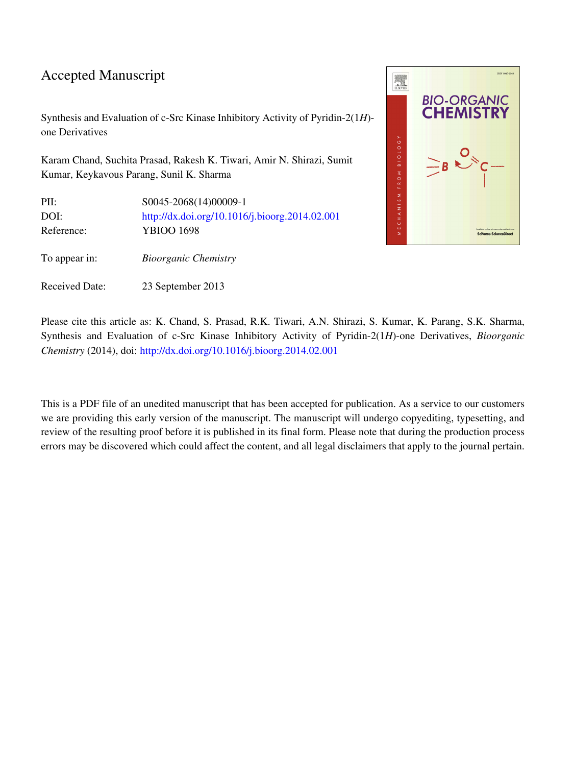### Accepted Manuscript

Synthesis and Evaluation of c-Src Kinase Inhibitory Activity of Pyridin-2(1H) one Derivatives

Karam Chand, Suchita Prasad, Rakesh K. Tiwari, Amir N. Shirazi, Sumit Kumar, Keykavous Parang, Sunil K. Sharma

| PII:          | S0045-2068(14)00009-1                          |
|---------------|------------------------------------------------|
| DOI:          | http://dx.doi.org/10.1016/j.bioorg.2014.02.001 |
| Reference:    | YBIOO 1698                                     |
| To appear in: | <b>Bioorganic Chemistry</b>                    |

Received Date: 23 September 2013



Please cite this article as: K. Chand, S. Prasad, R.K. Tiwari, A.N. Shirazi, S. Kumar, K. Parang, S.K. Sharma, Synthesis and Evaluation of c-Src Kinase Inhibitory Activity of Pyridin-2(1H)-one Derivatives, Bioorganic Chemistry (2014), doi: [http://dx.doi.org/10.1016/j.bioorg.2014.02.001](http://dx.doi.org/http://dx.doi.org/10.1016/j.bioorg.2014.02.001)

This is a PDF file of an unedited manuscript that has been accepted for publication. As a service to our customers we are providing this early version of the manuscript. The manuscript will undergo copyediting, typesetting, and review of the resulting proof before it is published in its final form. Please note that during the production process errors may be discovered which could affect the content, and all legal disclaimers that apply to the journal pertain.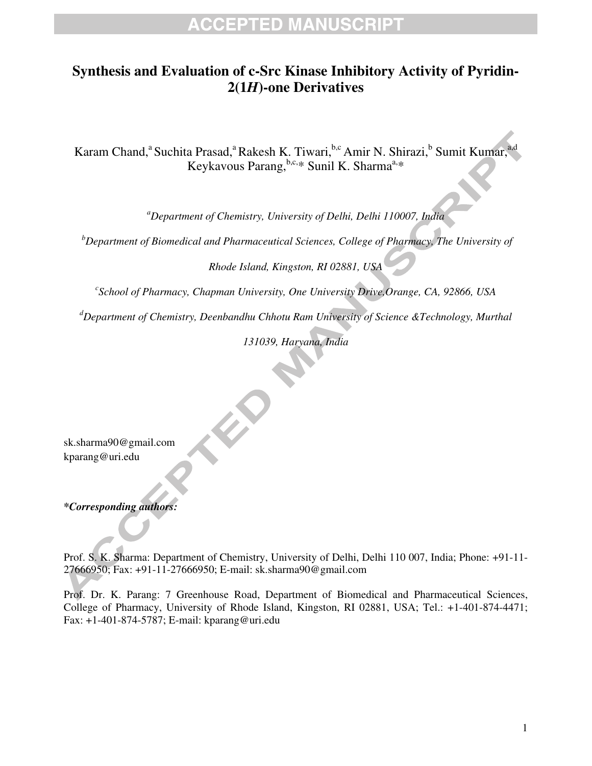### **Synthesis and Evaluation of c-Src Kinase Inhibitory Activity of Pyridin-2(1***H***)-one Derivatives**

Karam Chand,<sup>a</sup> Suchita Prasad,<sup>a</sup> Rakesh K. Tiwari,<sup>b,c</sup> Amir N. Shirazi,<sup>b</sup> Sumit Kumar,<sup>a,d</sup> Keykavous Parang,  $b,c,*$  Sunil K. Sharma<sup>a,\*</sup>

*a Department of Chemistry, University of Delhi, Delhi 110007, India* 

*b Department of Biomedical and Pharmaceutical Sciences, College of Pharmacy, The University of* 

*Rhode Island, Kingston, RI 02881, USA* 

*c School of Pharmacy, Chapman University, One University Drive,Orange, CA, 92866, USA* 

*d Department of Chemistry, Deenbandhu Chhotu Ram University of Science &Technology, Murthal* 

*131039, Haryana, India* 

sk.sharma90@gmail.com kparang@uri.edu

*\*Corresponding authors:* 

Prof. S. K. Sharma: Department of Chemistry, University of Delhi, Delhi 110 007, India; Phone: +91-11- 27666950; Fax: +91-11-27666950; E-mail: sk.sharma90@gmail.com

Prof. Dr. K. Parang: 7 Greenhouse Road, Department of Biomedical and Pharmaceutical Sciences, College of Pharmacy, University of Rhode Island, Kingston, RI 02881, USA; Tel.: +1-401-874-4471; Fax: +1-401-874-5787; E-mail: kparang@uri.edu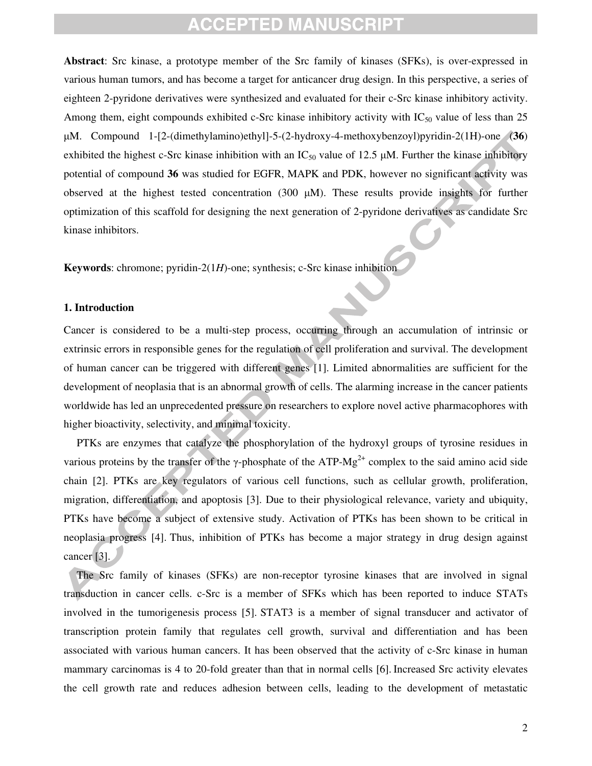**Abstract**: Src kinase, a prototype member of the Src family of kinases (SFKs), is over-expressed in various human tumors, and has become a target for anticancer drug design. In this perspective, a series of eighteen 2-pyridone derivatives were synthesized and evaluated for their c-Src kinase inhibitory activity. Among them, eight compounds exhibited c-Src kinase inhibitory activity with  $IC_{50}$  value of less than 25 μM. Compound 1-[2-(dimethylamino)ethyl]-5-(2-hydroxy-4-methoxybenzoyl)pyridin-2(1H)-one (**36**) exhibited the highest c-Src kinase inhibition with an  $IC_{50}$  value of 12.5  $\mu$ M. Further the kinase inhibitory potential of compound **36** was studied for EGFR, MAPK and PDK, however no significant activity was observed at the highest tested concentration (300  $\mu$ M). These results provide insights for further optimization of this scaffold for designing the next generation of 2-pyridone derivatives as candidate Src kinase inhibitors.

**Keywords**: chromone; pyridin-2(1*H*)-one; synthesis; c-Src kinase inhibition

#### **1. Introduction**

Cancer is considered to be a multi-step process, occurring through an accumulation of intrinsic or extrinsic errors in responsible genes for the regulation of cell proliferation and survival. The development of human cancer can be triggered with different genes [1]. Limited abnormalities are sufficient for the development of neoplasia that is an abnormal growth of cells. The alarming increase in the cancer patients worldwide has led an unprecedented pressure on researchers to explore novel active pharmacophores with higher bioactivity, selectivity, and minimal toxicity.

PTKs are enzymes that catalyze the phosphorylation of the hydroxyl groups of tyrosine residues in various proteins by the transfer of the γ-phosphate of the ATP- $Mg^{2+}$  complex to the said amino acid side chain [2]. PTKs are key regulators of various cell functions, such as cellular growth, proliferation, migration, differentiation, and apoptosis [3]. Due to their physiological relevance, variety and ubiquity, PTKs have become a subject of extensive study. Activation of PTKs has been shown to be critical in neoplasia progress [4]. Thus, inhibition of PTKs has become a major strategy in drug design against cancer [3].

The Src family of kinases (SFKs) are non-receptor tyrosine kinases that are involved in signal transduction in cancer cells. c-Src is a member of SFKs which has been reported to induce STATs involved in the tumorigenesis process [5]. STAT3 is a member of signal transducer and activator of transcription protein family that regulates cell growth, survival and differentiation and has been associated with various human cancers. It has been observed that the activity of c-Src kinase in human mammary carcinomas is 4 to 20-fold greater than that in normal cells [6]. Increased Src activity elevates the cell growth rate and reduces adhesion between cells, leading to the development of metastatic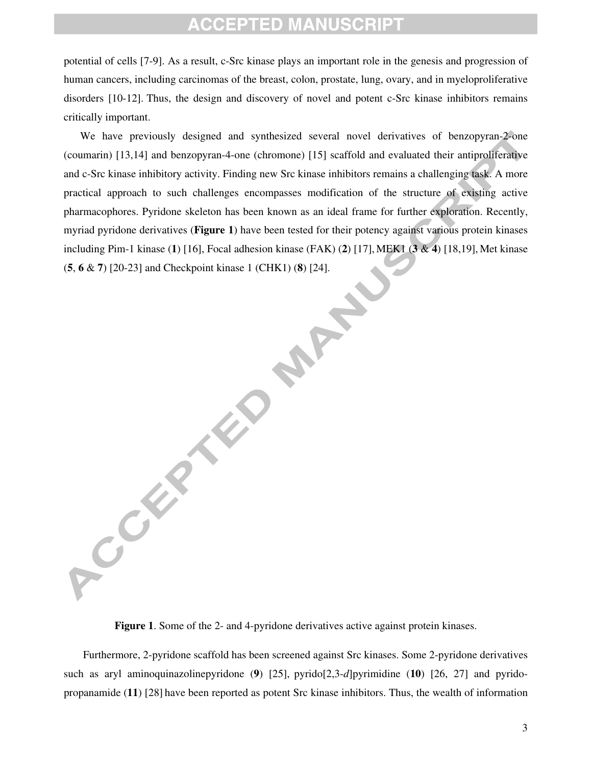potential of cells [7-9]. As a result, c-Src kinase plays an important role in the genesis and progression of human cancers, including carcinomas of the breast, colon, prostate, lung, ovary, and in myeloproliferative disorders [10-12]. Thus, the design and discovery of novel and potent c-Src kinase inhibitors remains critically important.

 We have previously designed and synthesized several novel derivatives of benzopyran-2-one (coumarin) [13,14] and benzopyran-4-one (chromone) [15] scaffold and evaluated their antiproliferative and c-Src kinase inhibitory activity. Finding new Src kinase inhibitors remains a challenging task. A more practical approach to such challenges encompasses modification of the structure of existing active pharmacophores. Pyridone skeleton has been known as an ideal frame for further exploration. Recently, myriad pyridone derivatives (**Figure 1**) have been tested for their potency against various protein kinases including Pim-1 kinase (**1**) [16], Focal adhesion kinase (FAK) (**2**) [17], MEK1 (**3** & **4**) [18,19], Met kinase (**5**, **6** & **7**) [20-23] and Checkpoint kinase 1 (CHK1) (**8**) [24].

**Figure 1**. Some of the 2- and 4-pyridone derivatives active against protein kinases.

Furthermore, 2-pyridone scaffold has been screened against Src kinases. Some 2-pyridone derivatives such as aryl aminoquinazolinepyridone (**9**) [25], pyrido[2,3-*d*]pyrimidine (**10**) [26, 27] and pyridopropanamide (**11**) [28] have been reported as potent Src kinase inhibitors. Thus, the wealth of information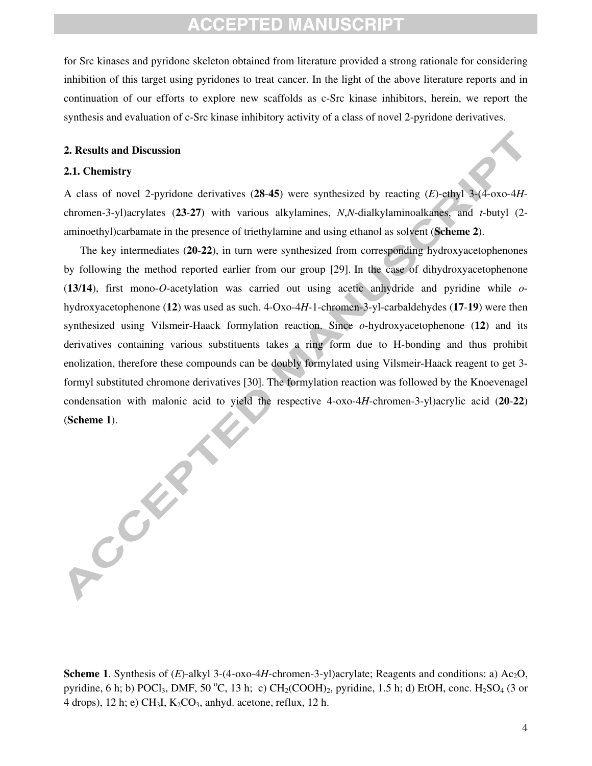for Src kinases and pyridone skeleton obtained from literature provided a strong rationale for considering inhibition of this target using pyridones to treat cancer. In the light of the above literature reports and in continuation of our efforts to explore new scaffolds as c-Src kinase inhibitors, herein, we report the synthesis and evaluation of c-Src kinase inhibitory activity of a class of novel 2-pyridone derivatives.

### **2. Results and Discussion**

A Called

#### **2.1. Chemistry**

A class of novel 2-pyridone derivatives (**28**-**45**) were synthesized by reacting (*E*)-ethyl 3-(4-oxo-4*H*chromen-3-yl)acrylates (**23**-**27**) with various alkylamines, *N*,*N*-dialkylaminoalkanes, and *t*-butyl (2 aminoethyl)carbamate in the presence of triethylamine and using ethanol as solvent (**Scheme 2**).

 The key intermediates (**20**-**22**), in turn were synthesized from corresponding hydroxyacetophenones by following the method reported earlier from our group [29]. In the case of dihydroxyacetophenone (**13**/**14**), first mono-*O*-acetylation was carried out using acetic anhydride and pyridine while *o*hydroxyacetophenone (**12**) was used as such. 4-Oxo-4*H*-1-chromen-3-yl-carbaldehydes (**17**-**19**) were then synthesized using Vilsmeir-Haack formylation reaction. Since *o*-hydroxyacetophenone (**12**) and its derivatives containing various substituents takes a ring form due to H-bonding and thus prohibit enolization, therefore these compounds can be doubly formylated using Vilsmeir-Haack reagent to get 3 formyl substituted chromone derivatives [30]. The formylation reaction was followed by the Knoevenagel condensation with malonic acid to yield the respective 4-oxo-4*H*-chromen-3-yl)acrylic acid (**20**-**22**) (**Scheme 1**).

**Scheme 1**. Synthesis of (*E*)-alkyl 3-(4-oxo-4*H*-chromen-3-yl)acrylate; Reagents and conditions: a) Ac<sub>2</sub>O, pyridine, 6 h; b) POCl<sub>3</sub>, DMF, 50 °C, 13 h; c) CH<sub>2</sub>(COOH)<sub>2</sub>, pyridine, 1.5 h; d) EtOH, conc. H<sub>2</sub>SO<sub>4</sub> (3 or 4 drops), 12 h; e) CH<sub>3</sub>I, K<sub>2</sub>CO<sub>3</sub>, anhyd. acetone, reflux, 12 h.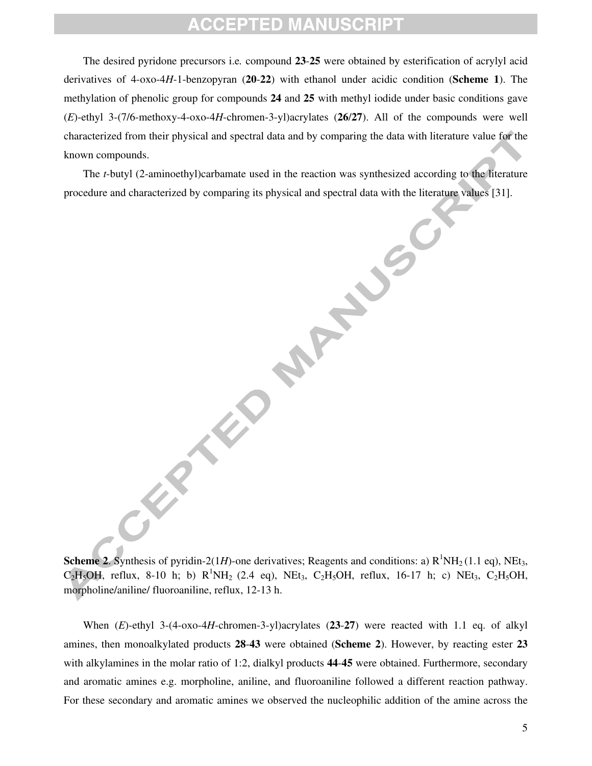The desired pyridone precursors i.e*.* compound **23**-**25** were obtained by esterification of acrylyl acid derivatives of 4-oxo-4*H*-1-benzopyran (**20**-**22**) with ethanol under acidic condition (**Scheme 1**). The methylation of phenolic group for compounds **24** and **25** with methyl iodide under basic conditions gave (*E*)-ethyl 3-(7/6-methoxy-4-oxo-4*H*-chromen-3-yl)acrylates (**26**/**27**). All of the compounds were well characterized from their physical and spectral data and by comparing the data with literature value for the known compounds.

The *t*-butyl (2-aminoethyl)carbamate used in the reaction was synthesized according to the literature procedure and characterized by comparing its physical and spectral data with the literature values [31].

**Scheme 2**. Synthesis of pyridin-2(1*H*)-one derivatives; Reagents and conditions: a)  $R^1NH_2(1.1 \text{ eq})$ , NEt<sub>3</sub>,  $C_2H_5OH$ , reflux, 8-10 h; b)  $R^1NH_2$  (2.4 eq), NEt<sub>3</sub>, C<sub>2</sub>H<sub>5</sub>OH, reflux, 16-17 h; c) NEt<sub>3</sub>, C<sub>2</sub>H<sub>5</sub>OH, morpholine/aniline/ fluoroaniline, reflux, 12-13 h.

PILLER C

When (*E*)-ethyl 3-(4-oxo-4*H*-chromen-3-yl)acrylates (**23**-**27**) were reacted with 1.1 eq. of alkyl amines, then monoalkylated products **28**-**43** were obtained (**Scheme 2**). However, by reacting ester **23** with alkylamines in the molar ratio of 1:2, dialkyl products **44**-**45** were obtained. Furthermore, secondary and aromatic amines e.g. morpholine, aniline, and fluoroaniline followed a different reaction pathway. For these secondary and aromatic amines we observed the nucleophilic addition of the amine across the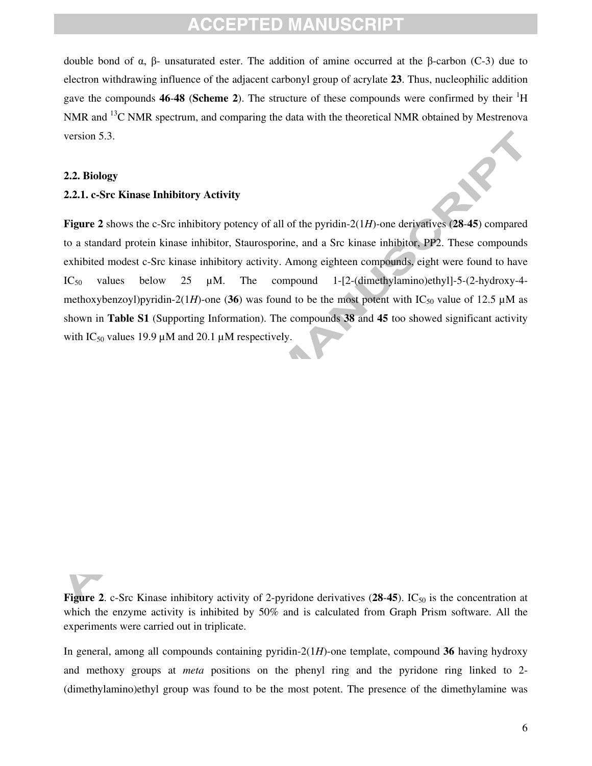double bond of α, β- unsaturated ester. The addition of amine occurred at the β-carbon (C-3) due to electron withdrawing influence of the adjacent carbonyl group of acrylate **23**. Thus, nucleophilic addition gave the compounds 46-48 (Scheme 2). The structure of these compounds were confirmed by their <sup>1</sup>H NMR and <sup>13</sup>C NMR spectrum, and comparing the data with the theoretical NMR obtained by Mestrenova version 5.3.

#### **2.2. Biology**

#### **2.2.1. c-Src Kinase Inhibitory Activity**

**Figure 2** shows the c-Src inhibitory potency of all of the pyridin-2(1*H*)-one derivatives (**28**-**45**) compared to a standard protein kinase inhibitor, Staurosporine, and a Src kinase inhibitor, PP2. These compounds exhibited modest c-Src kinase inhibitory activity. Among eighteen compounds, eight were found to have  $IC_{50}$  values below 25  $\mu$ M. The compound 1-[2-(dimethylamino)ethyl]-5-(2-hydroxy-4methoxybenzoyl)pyridin-2(1*H*)-one (36) was found to be the most potent with IC<sub>50</sub> value of 12.5  $\mu$ M as shown in **Table S1** (Supporting Information). The compounds **38** and **45** too showed significant activity with IC<sub>50</sub> values 19.9  $\mu$ M and 20.1  $\mu$ M respectively.

**Figure 2.** c-Src Kinase inhibitory activity of 2-pyridone derivatives  $(28-45)$ . IC<sub>50</sub> is the concentration at which the enzyme activity is inhibited by 50% and is calculated from Graph Prism software. All the experiments were carried out in triplicate.

In general, among all compounds containing pyridin-2(1*H*)-one template, compound **36** having hydroxy and methoxy groups at *meta* positions on the phenyl ring and the pyridone ring linked to 2- (dimethylamino)ethyl group was found to be the most potent. The presence of the dimethylamine was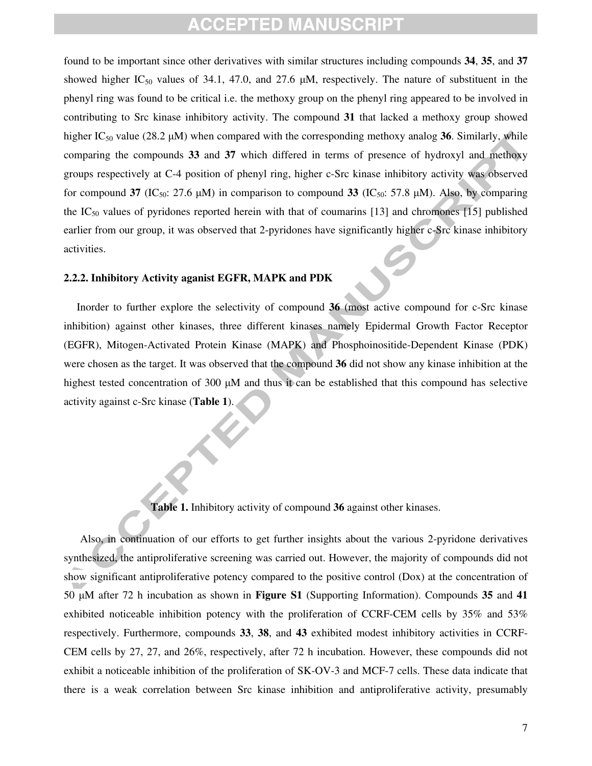found to be important since other derivatives with similar structures including compounds **34**, **35**, and **37** showed higher IC<sub>50</sub> values of 34.1, 47.0, and 27.6  $\mu$ M, respectively. The nature of substituent in the phenyl ring was found to be critical i.e. the methoxy group on the phenyl ring appeared to be involved in contributing to Src kinase inhibitory activity. The compound **31** that lacked a methoxy group showed higher IC<sub>50</sub> value (28.2  $\mu$ M) when compared with the corresponding methoxy analog **36**. Similarly, while comparing the compounds **33** and **37** which differed in terms of presence of hydroxyl and methoxy groups respectively at C-4 position of phenyl ring, higher c-Src kinase inhibitory activity was observed for compound **37**  $(IC_{50}$ : 27.6  $\mu$ M) in comparison to compound **33**  $(IC_{50}$ : 57.8  $\mu$ M). Also, by comparing the  $IC_{50}$  values of pyridones reported herein with that of coumarins [13] and chromones [15] published earlier from our group, it was observed that 2-pyridones have significantly higher c-Src kinase inhibitory activities.

### **2.2.2. Inhibitory Activity aganist EGFR, MAPK and PDK**

Inorder to further explore the selectivity of compound **36** (most active compound for c-Src kinase inhibition) against other kinases, three different kinases namely Epidermal Growth Factor Receptor (EGFR), Mitogen-Activated Protein Kinase (MAPK) and Phosphoinositide-Dependent Kinase (PDK) were chosen as the target. It was observed that the compound **36** did not show any kinase inhibition at the highest tested concentration of 300 μM and thus it can be established that this compound has selective activity against c-Src kinase (**Table 1**).

 Also, in continuation of our efforts to get further insights about the various 2-pyridone derivatives synthesized, the antiproliferative screening was carried out. However, the majority of compounds did not show significant antiproliferative potency compared to the positive control (Dox) at the concentration of 50 μM after 72 h incubation as shown in **Figure S1** (Supporting Information). Compounds **35** and **41** exhibited noticeable inhibition potency with the proliferation of CCRF-CEM cells by 35% and 53% respectively. Furthermore, compounds **33**, **38**, and **43** exhibited modest inhibitory activities in CCRF-CEM cells by 27, 27, and 26%, respectively, after 72 h incubation. However, these compounds did not exhibit a noticeable inhibition of the proliferation of SK-OV-3 and MCF-7 cells. These data indicate that there is a weak correlation between Src kinase inhibition and antiproliferative activity, presumably

**Table 1.** Inhibitory activity of compound **36** against other kinases.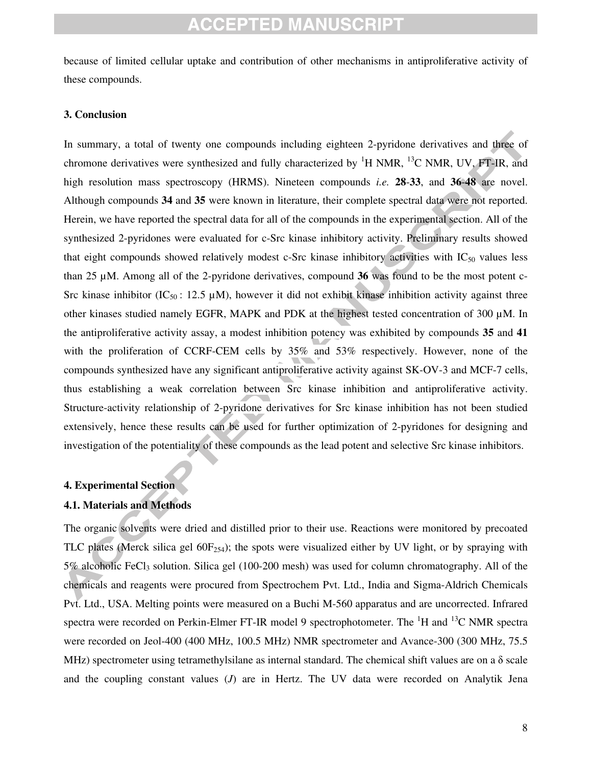because of limited cellular uptake and contribution of other mechanisms in antiproliferative activity of these compounds.

#### **3. Conclusion**

In summary, a total of twenty one compounds including eighteen 2-pyridone derivatives and three of chromone derivatives were synthesized and fully characterized by  ${}^{1}H$  NMR,  ${}^{13}C$  NMR, UV, FT-IR, and high resolution mass spectroscopy (HRMS). Nineteen compounds *i.e.* **28**-**33**, and **36**-**48** are novel. Although compounds **34** and **35** were known in literature, their complete spectral data were not reported. Herein, we have reported the spectral data for all of the compounds in the experimental section. All of the synthesized 2-pyridones were evaluated for c-Src kinase inhibitory activity. Preliminary results showed that eight compounds showed relatively modest c-Src kinase inhibitory activities with  $IC_{50}$  values less than 25 µM. Among all of the 2-pyridone derivatives, compound **36** was found to be the most potent c-Src kinase inhibitor (IC<sub>50</sub>: 12.5  $\mu$ M), however it did not exhibit kinase inhibition activity against three other kinases studied namely EGFR, MAPK and PDK at the highest tested concentration of 300 µM. In the antiproliferative activity assay, a modest inhibition potency was exhibited by compounds **35** and **41** with the proliferation of CCRF-CEM cells by 35% and 53% respectively. However, none of the compounds synthesized have any significant antiproliferative activity against SK-OV-3 and MCF-7 cells, thus establishing a weak correlation between Src kinase inhibition and antiproliferative activity. Structure-activity relationship of 2-pyridone derivatives for Src kinase inhibition has not been studied extensively, hence these results can be used for further optimization of 2-pyridones for designing and investigation of the potentiality of these compounds as the lead potent and selective Src kinase inhibitors.

#### **4. Experimental Section**

#### **4.1. Materials and Methods**

The organic solvents were dried and distilled prior to their use. Reactions were monitored by precoated TLC plates (Merck silica gel  $60F_{254}$ ); the spots were visualized either by UV light, or by spraying with  $5\%$  alcoholic FeCl<sub>3</sub> solution. Silica gel (100-200 mesh) was used for column chromatography. All of the chemicals and reagents were procured from Spectrochem Pvt. Ltd., India and Sigma-Aldrich Chemicals Pvt. Ltd., USA. Melting points were measured on a Buchi M-560 apparatus and are uncorrected. Infrared spectra were recorded on Perkin-Elmer FT-IR model 9 spectrophotometer. The  ${}^{1}H$  and  ${}^{13}C$  NMR spectra were recorded on Jeol-400 (400 MHz, 100.5 MHz) NMR spectrometer and Avance-300 (300 MHz, 75.5 MHz) spectrometer using tetramethylsilane as internal standard. The chemical shift values are on a δ scale and the coupling constant values (*J*) are in Hertz. The UV data were recorded on Analytik Jena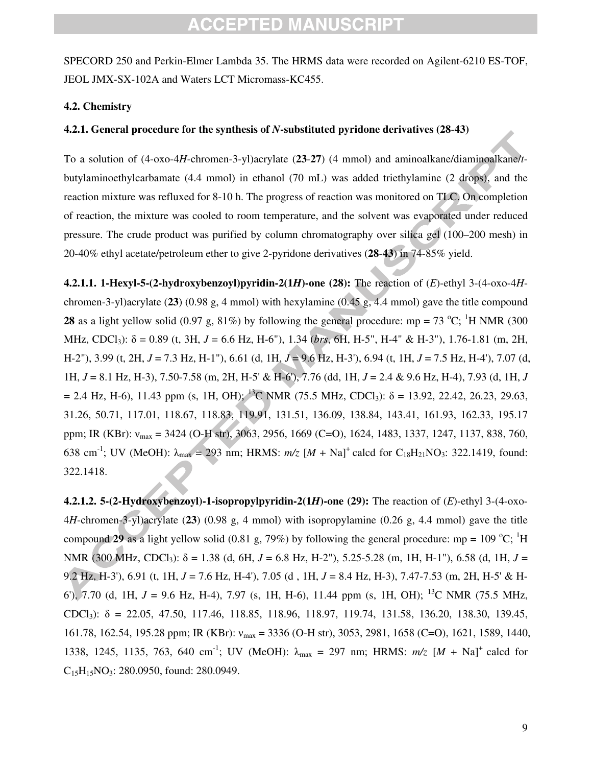SPECORD 250 and Perkin-Elmer Lambda 35. The HRMS data were recorded on Agilent-6210 ES-TOF, JEOL JMX-SX-102A and Waters LCT Micromass-KC455.

#### **4.2. Chemistry**

### **4.2.1. General procedure for the synthesis of** *N***-substituted pyridone derivatives (28**-**43)**

To a solution of (4-oxo-4*H*-chromen-3-yl)acrylate (**23**-**27**) (4 mmol) and aminoalkane/diaminoalkane/*t*butylaminoethylcarbamate (4.4 mmol) in ethanol (70 mL) was added triethylamine (2 drops), and the reaction mixture was refluxed for 8-10 h. The progress of reaction was monitored on TLC. On completion of reaction, the mixture was cooled to room temperature, and the solvent was evaporated under reduced pressure. The crude product was purified by column chromatography over silica gel (100–200 mesh) in 20-40% ethyl acetate/petroleum ether to give 2-pyridone derivatives (**28**-**43**) in 74-85% yield.

**4.2.1.1. 1-Hexyl-5-(2-hydroxybenzoyl)pyridin-2(1***H***)-one (28): The reaction of (***E***)-ethyl 3-(4-oxo-4***H*chromen-3-yl)acrylate (**23**) (0.98 g, 4 mmol) with hexylamine (0.45 g, 4.4 mmol) gave the title compound **28** as a light yellow solid (0.97 g, 81%) by following the general procedure: mp = 73 °C; <sup>1</sup>H NMR (300 MHz, CDCl3): δ = 0.89 (t, 3H, *J* = 6.6 Hz, H-6"), 1.34 (*brs*, 6H, H-5", H-4" & H-3"), 1.76-1.81 (m, 2H, H-2"), 3.99 (t, 2H, *J* = 7.3 Hz, H-1"), 6.61 (d, 1H, *J* = 9.6 Hz, H-3'), 6.94 (t, 1H, *J* = 7.5 Hz, H-4'), 7.07 (d, 1H, *J* = 8.1 Hz, H-3), 7.50-7.58 (m, 2H, H-5' & H-6'), 7.76 (dd, 1H, *J* = 2.4 & 9.6 Hz, H-4), 7.93 (d, 1H, *J*  $= 2.4$  Hz, H-6), 11.43 ppm (s, 1H, OH); <sup>13</sup>C NMR (75.5 MHz, CDCl<sub>3</sub>):  $\delta = 13.92, 22.42, 26.23, 29.63,$ 31.26, 50.71, 117.01, 118.67, 118.83, 119.91, 131.51, 136.09, 138.84, 143.41, 161.93, 162.33, 195.17 ppm; IR (KBr): νmax = 3424 (O-H str), 3063, 2956, 1669 (C=O), 1624, 1483, 1337, 1247, 1137, 838, 760, 638 cm<sup>-1</sup>; UV (MeOH):  $\lambda_{\text{max}} = 293$  nm; HRMS:  $m/z$  [*M* + Na]<sup>+</sup> calcd for C<sub>18</sub>H<sub>21</sub>NO<sub>3</sub>: 322.1419, found: 322.1418.

**4.2.1.2. 5-(2-Hydroxybenzoyl)-1-isopropylpyridin-2(1***H***)-one (29): The reaction of (***E***)-ethyl 3-(4-oxo-**4*H*-chromen-3-yl)acrylate (**23**) (0.98 g, 4 mmol) with isopropylamine (0.26 g, 4.4 mmol) gave the title compound 29 as a light yellow solid (0.81 g, 79%) by following the general procedure: mp =  $109 \text{ °C}$ ;  $\text{H}$ NMR (300 MHz, CDCl3): δ = 1.38 (d, 6H, *J* = 6.8 Hz, H-2"), 5.25-5.28 (m, 1H, H-1"), 6.58 (d, 1H, *J* = 9.2 Hz, H-3'), 6.91 (t, 1H, *J* = 7.6 Hz, H-4'), 7.05 (d , 1H, *J* = 8.4 Hz, H-3), 7.47-7.53 (m, 2H, H-5' & H-6'), 7.70 (d, 1H,  $J = 9.6$  Hz, H-4), 7.97 (s, 1H, H-6), 11.44 ppm (s, 1H, OH); <sup>13</sup>C NMR (75.5 MHz, CDCl<sub>3</sub>):  $\delta$  = 22.05, 47.50, 117.46, 118.85, 118.96, 118.97, 119.74, 131.58, 136.20, 138.30, 139.45, 161.78, 162.54, 195.28 ppm; IR (KBr): νmax = 3336 (O-H str), 3053, 2981, 1658 (C=O), 1621, 1589, 1440, 1338, 1245, 1135, 763, 640 cm<sup>-1</sup>; UV (MeOH):  $\lambda_{\text{max}} = 297$  nm; HRMS:  $m/z$  [M + Na]<sup>+</sup> calcd for  $C_{15}H_{15}NO_3$ : 280.0950, found: 280.0949.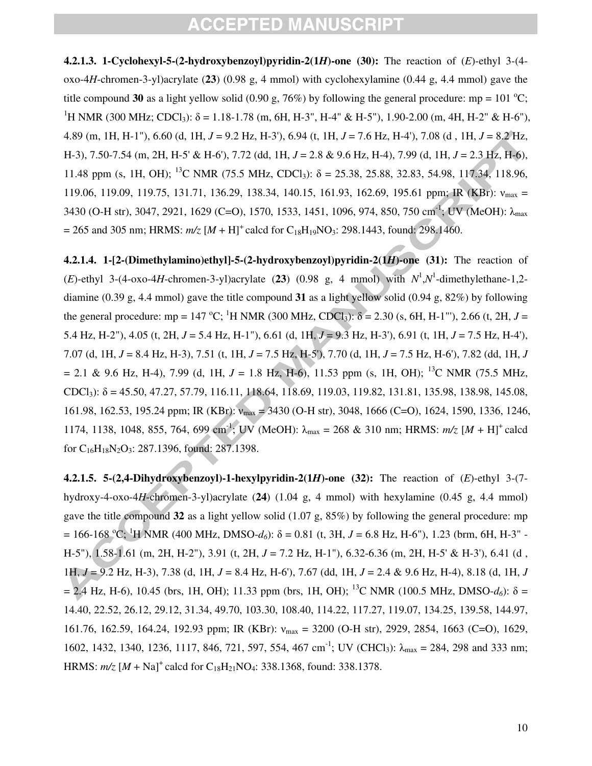**4.2.1.3. 1-Cyclohexyl-5-(2-hydroxybenzoyl)pyridin-2(1***H***)-one (30):** The reaction of (*E*)-ethyl 3-(4 oxo-4*H*-chromen-3-yl)acrylate (**23**) (0.98 g, 4 mmol) with cyclohexylamine (0.44 g, 4.4 mmol) gave the title compound 30 as a light yellow solid (0.90 g, 76%) by following the general procedure: mp = 101 °C; <sup>1</sup>H NMR (300 MHz; CDCl<sub>3</sub>): δ = 1.18-1.78 (m, 6H, H-3", H-4" & H-5"), 1.90-2.00 (m, 4H, H-2" & H-6"), 4.89 (m, 1H, H-1"), 6.60 (d, 1H, *J* = 9.2 Hz, H-3'), 6.94 (t, 1H, *J* = 7.6 Hz, H-4'), 7.08 (d , 1H, *J* = 8.2 Hz, H-3), 7.50-7.54 (m, 2H, H-5' & H-6'), 7.72 (dd, 1H, *J* = 2.8 & 9.6 Hz, H-4), 7.99 (d, 1H, *J* = 2.3 Hz, H-6), 11.48 ppm (s, 1H, OH); <sup>13</sup>C NMR (75.5 MHz, CDCl<sub>3</sub>):  $\delta$  = 25.38, 25.88, 32.83, 54.98, 117.34, 118.96, 119.06, 119.09, 119.75, 131.71, 136.29, 138.34, 140.15, 161.93, 162.69, 195.61 ppm; IR (KBr):  $v_{\text{max}} =$ 3430 (O-H str), 3047, 2921, 1629 (C=O), 1570, 1533, 1451, 1096, 974, 850, 750 cm<sup>-1</sup>; UV (MeOH):  $\lambda_{\text{max}}$  $= 265$  and 305 nm; HRMS:  $m/z$   $[M + H]^{+}$  calcd for  $C_{18}H_{19}NO_3$ : 298.1443, found: 298.1460.

**4.2.1.4. 1-[2-(Dimethylamino)ethyl]-5-(2-hydroxybenzoyl)pyridin-2(1***H***)-one (31):** The reaction of (*E*)-ethyl 3-(4-oxo-4*H*-chromen-3-yl)acrylate (23) (0.98 g, 4 mmol) with  $N^1, N^1$ -dimethylethane-1,2diamine (0.39 g, 4.4 mmol) gave the title compound **31** as a light yellow solid (0.94 g, 82%) by following the general procedure: mp = 147 °C; <sup>1</sup>H NMR (300 MHz, CDCl<sub>3</sub>):  $\delta$  = 2.30 (s, 6H, H-1"'), 2.66 (t, 2H, *J* = 5.4 Hz, H-2"), 4.05 (t, 2H, *J* = 5.4 Hz, H-1"), 6.61 (d, 1H, *J* = 9.3 Hz, H-3'), 6.91 (t, 1H, *J* = 7.5 Hz, H-4'), 7.07 (d, 1H, *J* = 8.4 Hz, H-3), 7.51 (t, 1H, *J* = 7.5 Hz, H-5'), 7.70 (d, 1H, *J* = 7.5 Hz, H-6'), 7.82 (dd, 1H, *J*  $= 2.1 \& 9.6 \text{ Hz}$ , H-4), 7.99 (d, 1H,  $J = 1.8 \text{ Hz}$ , H-6), 11.53 ppm (s, 1H, OH); <sup>13</sup>C NMR (75.5 MHz, CDCl<sub>3</sub>):  $\delta$  = 45.50, 47.27, 57.79, 116.11, 118.64, 118.69, 119.03, 119.82, 131.81, 135.98, 138.98, 145.08, 161.98, 162.53, 195.24 ppm; IR (KBr): νmax = 3430 (O-H str), 3048, 1666 (C=O), 1624, 1590, 1336, 1246, 1174, 1138, 1048, 855, 764, 699 cm-1; UV (MeOH): λmax = 268 & 310 nm; HRMS: *m/z* [*M* + H]+ calcd for  $C_{16}H_{18}N_2O_3$ : 287.1396, found: 287.1398.

**4.2.1.5. 5-(2,4-Dihydroxybenzoyl)-1-hexylpyridin-2(1***H***)-one (32):** The reaction of (*E*)-ethyl 3-(7 hydroxy-4-oxo-4*H*-chromen-3-yl)acrylate (**24**) (1.04 g, 4 mmol) with hexylamine (0.45 g, 4.4 mmol) gave the title compound **32** as a light yellow solid (1.07 g, 85%) by following the general procedure: mp  $= 166-168 \degree C$ ; <sup>1</sup>H NMR (400 MHz, DMSO-*d<sub>6</sub>*):  $\delta = 0.81$  (t, 3H, *J* = 6.8 Hz, H-6"), 1.23 (brm, 6H, H-3" -H-5"), 1.58-1.61 (m, 2H, H-2"), 3.91 (t, 2H, *J* = 7.2 Hz, H-1"), 6.32-6.36 (m, 2H, H-5' & H-3'), 6.41 (d , 1H, *J* = 9.2 Hz, H-3), 7.38 (d, 1H, *J* = 8.4 Hz, H-6'), 7.67 (dd, 1H, *J* = 2.4 & 9.6 Hz, H-4), 8.18 (d, 1H, *J*  $= 2.4$  Hz, H-6), 10.45 (brs, 1H, OH); 11.33 ppm (brs, 1H, OH); <sup>13</sup>C NMR (100.5 MHz, DMSO- $d_6$ ):  $\delta =$ 14.40, 22.52, 26.12, 29.12, 31.34, 49.70, 103.30, 108.40, 114.22, 117.27, 119.07, 134.25, 139.58, 144.97, 161.76, 162.59, 164.24, 192.93 ppm; IR (KBr): νmax = 3200 (O-H str), 2929, 2854, 1663 (C=O), 1629, 1602, 1432, 1340, 1236, 1117, 846, 721, 597, 554, 467 cm<sup>-1</sup>; UV (CHCl<sub>3</sub>):  $\lambda_{\text{max}} = 284$ , 298 and 333 nm; HRMS:  $m/z$  [*M* + Na]<sup>+</sup> calcd for C<sub>18</sub>H<sub>21</sub>NO<sub>4</sub>: 338.1368, found: 338.1378.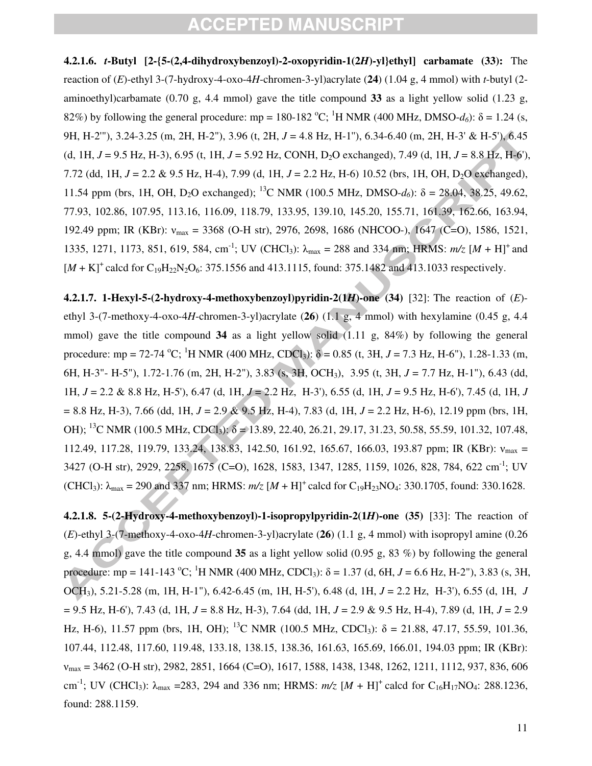**4.2.1.6.** *t***-Butyl [2-{5-(2,4-dihydroxybenzoyl)-2-oxopyridin-1(2***H***)-yl}ethyl] carbamate (33):** The reaction of (*E*)-ethyl 3-(7-hydroxy-4-oxo-4*H*-chromen-3-yl)acrylate (**24**) (1.04 g, 4 mmol) with *t*-butyl (2 aminoethyl)carbamate (0.70 g, 4.4 mmol) gave the title compound **33** as a light yellow solid (1.23 g, 82%) by following the general procedure: mp = 180-182 °C; <sup>1</sup>H NMR (400 MHz, DMSO- $d_6$ ): δ = 1.24 (s, 9H, H-2'"), 3.24-3.25 (m, 2H, H-2"), 3.96 (t, 2H, *J* = 4.8 Hz, H-1''), 6.34-6.40 (m, 2H, H-3' & H-5'), 6.45 (d, 1H, *J* = 9.5 Hz, H-3), 6.95 (t, 1H, *J* = 5.92 Hz, CONH, D2O exchanged), 7.49 (d, 1H, *J* = 8.8 Hz, H-6'), 7.72 (dd, 1H, *J* = 2.2 & 9.5 Hz, H-4), 7.99 (d, 1H, *J* = 2.2 Hz, H-6) 10.52 (brs, 1H, OH, D2O exchanged), 11.54 ppm (brs, 1H, OH, D<sub>2</sub>O exchanged); <sup>13</sup>C NMR (100.5 MHz, DMSO- $d_6$ ):  $\delta = 28.04$ , 38.25, 49.62, 77.93, 102.86, 107.95, 113.16, 116.09, 118.79, 133.95, 139.10, 145.20, 155.71, 161.39, 162.66, 163.94, 192.49 ppm; IR (KBr): νmax = 3368 (O-H str), 2976, 2698, 1686 (NHCOO-), 1647 (C=O), 1586, 1521, 1335, 1271, 1173, 851, 619, 584, cm<sup>-1</sup>; UV (CHCl<sub>3</sub>):  $\lambda_{\text{max}} = 288$  and 334 nm; HRMS:  $m/z$  [*M* + H]<sup>+</sup> and  $[M + K]^+$  calcd for  $C_{19}H_{22}N_2O_6$ : 375.1556 and 413.1115, found: 375.1482 and 413.1033 respectively.

**4.2.1.7. 1-Hexyl-5-(2-hydroxy-4-methoxybenzoyl)pyridin-2(1***H***)-one (34)** [32]: The reaction of (*E*) ethyl 3-(7-methoxy-4-oxo-4*H*-chromen-3-yl)acrylate (**26**) (1.1 g, 4 mmol) with hexylamine (0.45 g, 4.4 mmol) gave the title compound **34** as a light yellow solid (1.11 g, 84%) by following the general procedure: mp = 72-74 <sup>o</sup>C; <sup>1</sup>H NMR (400 MHz, CDCl<sub>3</sub>):  $\delta$  = 0.85 (t, 3H, J = 7.3 Hz, H-6"), 1.28-1.33 (m, 6H, H-3"- H-5"), 1.72-1.76 (m, 2H, H-2"), 3.83 (s, 3H, OCH3), 3.95 (t, 3H, *J* = 7.7 Hz, H-1"), 6.43 (dd, 1H, *J* = 2.2 & 8.8 Hz, H-5'), 6.47 (d, 1H, *J* = 2.2 Hz, H-3'), 6.55 (d, 1H, *J* = 9.5 Hz, H-6'), 7.45 (d, 1H, *J* = 8.8 Hz, H-3), 7.66 (dd, 1H, *J* = 2.9 & 9.5 Hz, H-4), 7.83 (d, 1H, *J* = 2.2 Hz, H-6), 12.19 ppm (brs, 1H, OH); <sup>13</sup>C NMR (100.5 MHz, CDCl<sub>3</sub>):  $\delta$  = 13.89, 22.40, 26.21, 29.17, 31.23, 50.58, 55.59, 101.32, 107.48, 112.49, 117.28, 119.79, 133.24, 138.83, 142.50, 161.92, 165.67, 166.03, 193.87 ppm; IR (KBr):  $v_{\text{max}} =$ 3427 (O-H str), 2929, 2258, 1675 (C=O), 1628, 1583, 1347, 1285, 1159, 1026, 828, 784, 622 cm-1; UV  $(CHCl<sub>3</sub>)$ :  $\lambda_{\text{max}} = 290$  and 337 nm; HRMS:  $m/z$  [*M* + H]<sup>+</sup> calcd for C<sub>19</sub>H<sub>23</sub>NO<sub>4</sub>: 330.1705, found: 330.1628.

**4.2.1.8. 5-(2-Hydroxy-4-methoxybenzoyl)-1-isopropylpyridin-2(1***H***)-one (35)** [33]: The reaction of (*E*)-ethyl 3-(7-methoxy-4-oxo-4*H*-chromen-3-yl)acrylate (**26**) (1.1 g, 4 mmol) with isopropyl amine (0.26 g, 4.4 mmol) gave the title compound **35** as a light yellow solid (0.95 g, 83 %) by following the general procedure: mp = 141-143 <sup>o</sup>C; <sup>1</sup>H NMR (400 MHz, CDCl<sub>3</sub>):  $\delta$  = 1.37 (d, 6H, *J* = 6.6 Hz, H-2"), 3.83 (s, 3H, OCH3), 5.21-5.28 (m, 1H, H-1"), 6.42-6.45 (m, 1H, H-5'), 6.48 (d, 1H, *J* = 2.2 Hz, H-3'), 6.55 (d, 1H, *J* = 9.5 Hz, H-6'), 7.43 (d, 1H, *J* = 8.8 Hz, H-3), 7.64 (dd, 1H, *J* = 2.9 & 9.5 Hz, H-4), 7.89 (d, 1H, *J* = 2.9 Hz, H-6), 11.57 ppm (brs, 1H, OH); <sup>13</sup>C NMR (100.5 MHz, CDCl<sub>3</sub>):  $\delta$  = 21.88, 47.17, 55.59, 101.36, 107.44, 112.48, 117.60, 119.48, 133.18, 138.15, 138.36, 161.63, 165.69, 166.01, 194.03 ppm; IR (KBr):  $v_{\text{max}}$  = 3462 (O-H str), 2982, 2851, 1664 (C=O), 1617, 1588, 1438, 1348, 1262, 1211, 1112, 937, 836, 606 cm<sup>-1</sup>; UV (CHCl<sub>3</sub>): λ<sub>max</sub> = 283, 294 and 336 nm; HRMS: *m/z* [*M* + H]<sup>+</sup> calcd for C<sub>16</sub>H<sub>17</sub>NO<sub>4</sub>: 288.1236, found: 288.1159.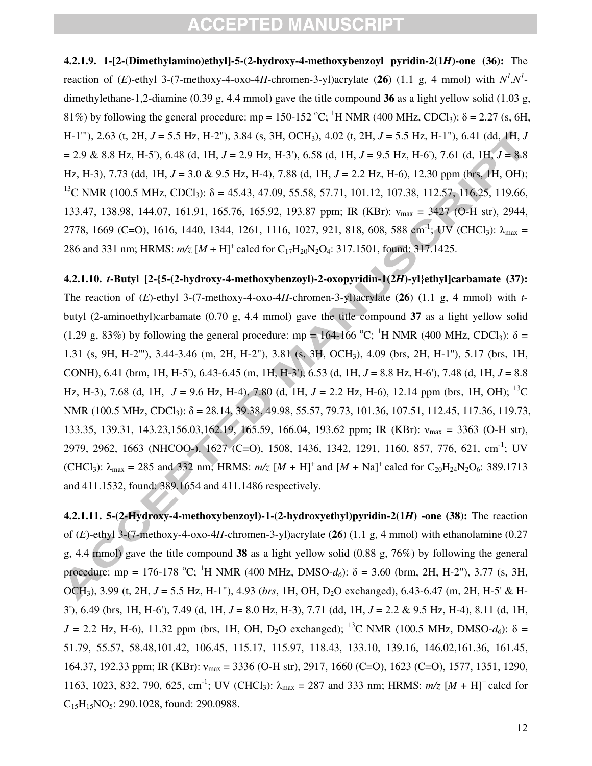**4.2.1.9. 1-[2-(Dimethylamino)ethyl]-5-(2-hydroxy-4-methoxybenzoyl pyridin-2(1***H***)-one (36):** The reaction of (*E*)-ethyl 3-(7-methoxy-4-oxo-4*H*-chromen-3-yl)acrylate (26) (1.1 g, 4 mmol) with  $N^1$ , $N^1$ dimethylethane-1,2-diamine (0.39 g, 4.4 mmol) gave the title compound **36** as a light yellow solid (1.03 g, 81%) by following the general procedure: mp = 150-152 °C; <sup>1</sup>H NMR (400 MHz, CDCl<sub>3</sub>):  $\delta$  = 2.27 (s, 6H, H-1'"), 2.63 (t, 2H, *J* = 5.5 Hz, H-2"), 3.84 (s, 3H, OCH3), 4.02 (t, 2H, *J* = 5.5 Hz, H-1"), 6.41 (dd, 1H, *J* = 2.9 & 8.8 Hz, H-5'), 6.48 (d, 1H, *J* = 2.9 Hz, H-3'), 6.58 (d, 1H, *J* = 9.5 Hz, H-6'), 7.61 (d, 1H, *J* = 8.8 Hz, H-3), 7.73 (dd, 1H, *J* = 3.0 & 9.5 Hz, H-4), 7.88 (d, 1H, *J* = 2.2 Hz, H-6), 12.30 ppm (brs, 1H, OH); <sup>13</sup>C NMR (100.5 MHz, CDCl<sub>3</sub>): δ = 45.43, 47.09, 55.58, 57.71, 101.12, 107.38, 112.57, 116.25, 119.66, 133.47, 138.98, 144.07, 161.91, 165.76, 165.92, 193.87 ppm; IR (KBr):  $v_{\text{max}} = 3427$  (O-H str), 2944, 2778, 1669 (C=O), 1616, 1440, 1344, 1261, 1116, 1027, 921, 818, 608, 588 cm<sup>-1</sup>; UV (CHCl<sub>3</sub>):  $\lambda_{\text{max}}$  = 286 and 331 nm; HRMS:  $m/z$  [M + H]<sup>+</sup> calcd for C<sub>17</sub>H<sub>20</sub>N<sub>2</sub>O<sub>4</sub>: 317.1501, found: 317.1425.

**4.2.1.10.** *t***-Butyl [2-{5-(2-hydroxy-4-methoxybenzoyl)-2-oxopyridin-1(2***H***)-yl}ethyl]carbamate (37):**  The reaction of (*E*)-ethyl 3-(7-methoxy-4-oxo-4*H*-chromen-3-yl)acrylate (**26**) (1.1 g, 4 mmol) with *t*butyl (2-aminoethyl)carbamate (0.70 g, 4.4 mmol) gave the title compound **37** as a light yellow solid (1.29 g, 83%) by following the general procedure: mp = 164-166 °C; <sup>1</sup>H NMR (400 MHz, CDCl<sub>3</sub>):  $\delta$  = 1.31 (s, 9H, H-2'"), 3.44-3.46 (m, 2H, H-2"), 3.81 (s, 3H, OCH3), 4.09 (brs, 2H, H-1''), 5.17 (brs, 1H, CONH), 6.41 (brm, 1H, H-5'), 6.43-6.45 (m, 1H, H-3'), 6.53 (d, 1H, *J* = 8.8 Hz, H-6'), 7.48 (d, 1H, *J* = 8.8 Hz, H-3), 7.68 (d, 1H, *J* = 9.6 Hz, H-4), 7.80 (d, 1H, *J* = 2.2 Hz, H-6), 12.14 ppm (brs, 1H, OH); 13C NMR (100.5 MHz, CDCl<sub>3</sub>): δ = 28.14, 39.38, 49.98, 55.57, 79.73, 101.36, 107.51, 112.45, 117.36, 119.73, 133.35, 139.31, 143.23,156.03,162.19, 165.59, 166.04, 193.62 ppm; IR (KBr):  $v_{\text{max}} = 3363$  (O-H str), 2979, 2962, 1663 (NHCOO-), 1627 (C=O), 1508, 1436, 1342, 1291, 1160, 857, 776, 621, cm-1; UV (CHCl<sub>3</sub>):  $\lambda_{\text{max}} = 285$  and 332 nm; HRMS:  $m/z$  [*M* + H]<sup>+</sup> and [*M* + Na]<sup>+</sup> calcd for C<sub>20</sub>H<sub>24</sub>N<sub>2</sub>O<sub>6</sub>: 389.1713 and 411.1532, found: 389.1654 and 411.1486 respectively.

**4.2.1.11. 5-(2-Hydroxy-4-methoxybenzoyl)-1-(2-hydroxyethyl)pyridin-2(1***H***) -one (38):** The reaction of (*E*)-ethyl 3-(7-methoxy-4-oxo-4*H*-chromen-3-yl)acrylate (**26**) (1.1 g, 4 mmol) with ethanolamine (0.27 g, 4.4 mmol) gave the title compound **38** as a light yellow solid (0.88 g, 76%) by following the general procedure: mp = 176-178 <sup>o</sup>C; <sup>1</sup>H NMR (400 MHz, DMSO- $d_6$ ):  $\delta$  = 3.60 (brm, 2H, H-2"), 3.77 (s, 3H, OCH3), 3.99 (t, 2H, *J* = 5.5 Hz, H-1"), 4.93 (*brs*, 1H, OH, D2O exchanged), 6.43-6.47 (m, 2H, H-5' & H-3'), 6.49 (brs, 1H, H-6'), 7.49 (d, 1H, *J* = 8.0 Hz, H-3), 7.71 (dd, 1H, *J* = 2.2 & 9.5 Hz, H-4), 8.11 (d, 1H, *J* = 2.2 Hz, H-6), 11.32 ppm (brs, 1H, OH, D<sub>2</sub>O exchanged); <sup>13</sup>C NMR (100.5 MHz, DMSO- $d_6$ ): δ = 51.79, 55.57, 58.48,101.42, 106.45, 115.17, 115.97, 118.43, 133.10, 139.16, 146.02,161.36, 161.45, 164.37, 192.33 ppm; IR (KBr): νmax = 3336 (O-H str), 2917, 1660 (C=O), 1623 (C=O), 1577, 1351, 1290, 1163, 1023, 832, 790, 625, cm<sup>-1</sup>; UV (CHCl<sub>3</sub>):  $\lambda_{\text{max}} = 287$  and 333 nm; HRMS:  $m/z$  [*M* + H]<sup>+</sup> calcd for  $C_{15}H_{15}NO_5$ : 290.1028, found: 290.0988.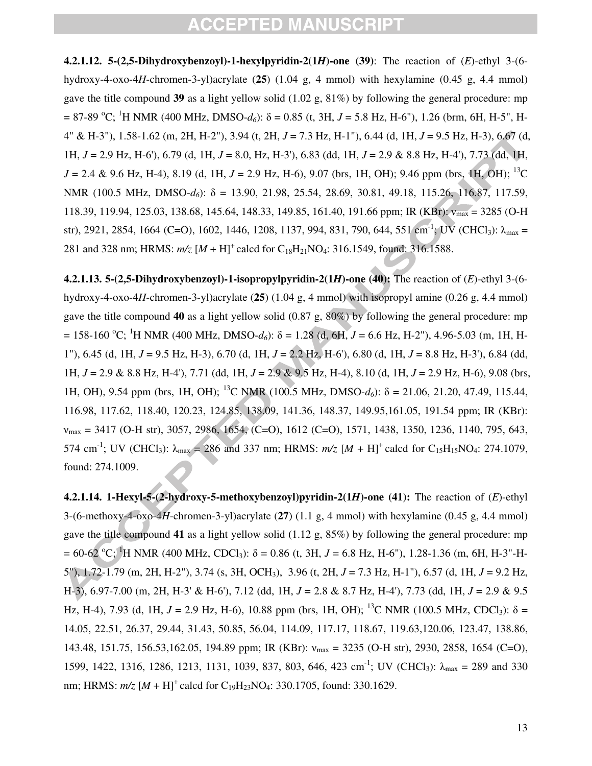**4.2.1.12. 5-(2,5-Dihydroxybenzoyl)-1-hexylpyridin-2(1***H***)-one (39): The reaction of (***E***)-ethyl 3-(6**hydroxy-4-oxo-4*H*-chromen-3-yl)acrylate (**25**) (1.04 g, 4 mmol) with hexylamine (0.45 g, 4.4 mmol) gave the title compound **39** as a light yellow solid (1.02 g, 81%) by following the general procedure: mp  $= 87-89 \text{ °C}$ ; <sup>1</sup>H NMR (400 MHz, DMSO- $d_6$ ):  $\delta = 0.85$  (t, 3H,  $J = 5.8$  Hz, H-6"), 1.26 (brm, 6H, H-5", H-4" & H-3"), 1.58-1.62 (m, 2H, H-2"), 3.94 (t, 2H, *J* = 7.3 Hz, H-1"), 6.44 (d, 1H, *J* = 9.5 Hz, H-3), 6.67 (d, 1H, *J* = 2.9 Hz, H-6'), 6.79 (d, 1H, *J* = 8.0, Hz, H-3'), 6.83 (dd, 1H, *J* = 2.9 & 8.8 Hz, H-4'), 7.73 (dd, 1H,  $J = 2.4 \& 9.6 \text{ Hz}$ , H-4), 8.19 (d, 1H,  $J = 2.9 \text{ Hz}$ , H-6), 9.07 (brs, 1H, OH); 9.46 ppm (brs, 1H, OH); <sup>13</sup>C NMR (100.5 MHz, DMSO-*d<sub>6</sub>*): δ = 13.90, 21.98, 25.54, 28.69, 30.81, 49.18, 115.26, 116.87, 117.59, 118.39, 119.94, 125.03, 138.68, 145.64, 148.33, 149.85, 161.40, 191.66 ppm; IR (KBr): νmax = 3285 (O-H str), 2921, 2854, 1664 (C=O), 1602, 1446, 1208, 1137, 994, 831, 790, 644, 551 cm<sup>-1</sup>; UV (CHCl<sub>3</sub>):  $\lambda_{\text{max}} =$ 281 and 328 nm; HRMS:  $m/z$  [M + H]<sup>+</sup> calcd for C<sub>18</sub>H<sub>21</sub>NO<sub>4</sub>: 316.1549, found: 316.1588.

**4.2.1.13. 5-(2,5-Dihydroxybenzoyl)-1-isopropylpyridin-2(1***H***)-one (40):** The reaction of (*E*)-ethyl 3-(6 hydroxy-4-oxo-4*H*-chromen-3-yl)acrylate (**25**) (1.04 g, 4 mmol) with isopropyl amine (0.26 g, 4.4 mmol) gave the title compound **40** as a light yellow solid (0.87 g, 80%) by following the general procedure: mp = 158-160 °C; <sup>1</sup>H NMR (400 MHz, DMSO-*d*<sub>6</sub>): δ = 1.28 (d, 6H, *J* = 6.6 Hz, H-2"), 4.96-5.03 (m, 1H, H-1"), 6.45 (d, 1H, *J* = 9.5 Hz, H-3), 6.70 (d, 1H, *J* = 2.2 Hz, H-6'), 6.80 (d, 1H, *J* = 8.8 Hz, H-3'), 6.84 (dd, 1H, *J* = 2.9 & 8.8 Hz, H-4'), 7.71 (dd, 1H, *J* = 2.9 & 9.5 Hz, H-4), 8.10 (d, 1H, *J* = 2.9 Hz, H-6), 9.08 (brs, 1H, OH), 9.54 ppm (brs, 1H, OH); <sup>13</sup>C NMR (100.5 MHz, DMSO- $d_6$ ):  $\delta = 21.06$ , 21.20, 47.49, 115.44, 116.98, 117.62, 118.40, 120.23, 124.85, 138.09, 141.36, 148.37, 149.95,161.05, 191.54 ppm; IR (KBr):  $v_{\text{max}} = 3417$  (O-H str), 3057, 2986, 1654, (C=O), 1612 (C=O), 1571, 1438, 1350, 1236, 1140, 795, 643, 574 cm<sup>-1</sup>; UV (CHCl<sub>3</sub>):  $\lambda_{\text{max}} = 286$  and 337 nm; HRMS:  $m/z$   $[M + H]^{+}$  calcd for C<sub>15</sub>H<sub>15</sub>NO<sub>4</sub>: 274.1079, found: 274.1009.

**4.2.1.14. 1-Hexyl-5-(2-hydroxy-5-methoxybenzoyl)pyridin-2(1***H***)-one (41): The reaction of (***E***)-ethyl** 3-(6-methoxy-4-oxo-4*H*-chromen-3-yl)acrylate (**27**) (1.1 g, 4 mmol) with hexylamine (0.45 g, 4.4 mmol) gave the title compound **41** as a light yellow solid (1.12 g, 85%) by following the general procedure: mp = 60-62 <sup>o</sup>C;<sup>1</sup>H NMR (400 MHz, CDCl<sub>3</sub>): δ = 0.86 (t, 3H, *J* = 6.8 Hz, H-6"), 1.28-1.36 (m, 6H, H-3"-H-5"), 1.72-1.79 (m, 2H, H-2"), 3.74 (s, 3H, OCH3), 3.96 (t, 2H, *J* = 7.3 Hz, H-1"), 6.57 (d, 1H, *J* = 9.2 Hz, H-3), 6.97-7.00 (m, 2H, H-3' & H-6'), 7.12 (dd, 1H, *J* = 2.8 & 8.7 Hz, H-4'), 7.73 (dd, 1H, *J* = 2.9 & 9.5 Hz, H-4), 7.93 (d, 1H,  $J = 2.9$  Hz, H-6), 10.88 ppm (brs, 1H, OH); <sup>13</sup>C NMR (100.5 MHz, CDCl<sub>3</sub>):  $\delta =$ 14.05, 22.51, 26.37, 29.44, 31.43, 50.85, 56.04, 114.09, 117.17, 118.67, 119.63,120.06, 123.47, 138.86, 143.48, 151.75, 156.53,162.05, 194.89 ppm; IR (KBr): νmax = 3235 (O-H str), 2930, 2858, 1654 (C=O), 1599, 1422, 1316, 1286, 1213, 1131, 1039, 837, 803, 646, 423 cm<sup>-1</sup>; UV (CHCl<sub>3</sub>):  $\lambda_{\text{max}} = 289$  and 330 nm; HRMS:  $m/z$  [ $M$  + H]<sup>+</sup> calcd for C<sub>19</sub>H<sub>23</sub>NO<sub>4</sub>: 330.1705, found: 330.1629.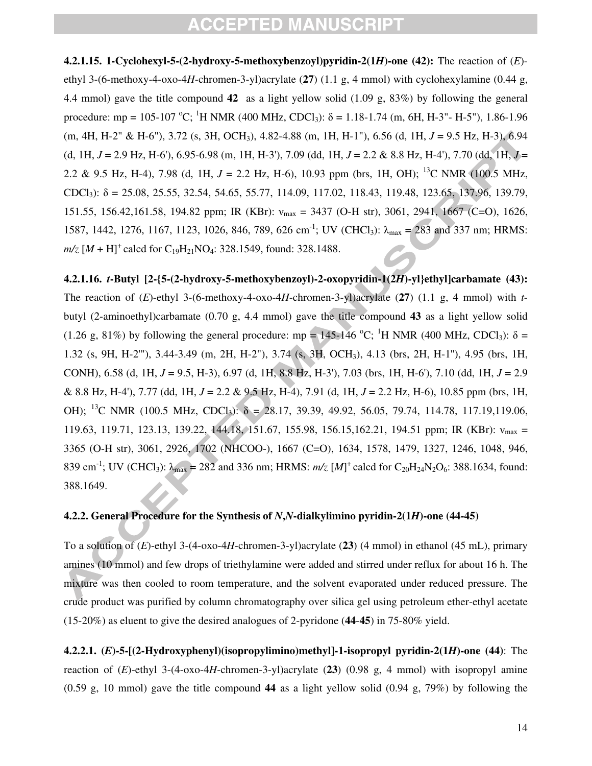**4.2.1.15. 1-Cyclohexyl-5-(2-hydroxy-5-methoxybenzoyl)pyridin-2(1***H***)-one (42):** The reaction of (*E*) ethyl 3-(6-methoxy-4-oxo-4*H*-chromen-3-yl)acrylate (**27**) (1.1 g, 4 mmol) with cyclohexylamine (0.44 g, 4.4 mmol) gave the title compound **42** as a light yellow solid (1.09 g, 83%) by following the general procedure: mp = 105-107 °C; <sup>1</sup>H NMR (400 MHz, CDCl<sub>3</sub>):  $\delta$  = 1.18-1.74 (m, 6H, H-3"- H-5"), 1.86-1.96 (m, 4H, H-2" & H-6"), 3.72 (s, 3H, OCH3), 4.82-4.88 (m, 1H, H-1"), 6.56 (d, 1H, *J* = 9.5 Hz, H-3), 6.94 (d, 1H, *J* = 2.9 Hz, H-6'), 6.95-6.98 (m, 1H, H-3'), 7.09 (dd, 1H, *J* = 2.2 & 8.8 Hz, H-4'), 7.70 (dd, 1H, *J* = 2.2 & 9.5 Hz, H-4), 7.98 (d, 1H, *J* = 2.2 Hz, H-6), 10.93 ppm (brs, 1H, OH); 13C NMR (100.5 MHz, CDCl<sub>3</sub>):  $\delta$  = 25.08, 25.55, 32.54, 54.65, 55.77, 114.09, 117.02, 118.43, 119.48, 123.65, 137.96, 139.79, 151.55, 156.42,161.58, 194.82 ppm; IR (KBr): νmax = 3437 (O-H str), 3061, 2941, 1667 (C=O), 1626, 1587, 1442, 1276, 1167, 1123, 1026, 846, 789, 626 cm<sup>-1</sup>; UV (CHCl<sub>3</sub>):  $\lambda_{\text{max}} = 283$  and 337 nm; HRMS:  $m/z$  [*M* + H]<sup>+</sup> calcd for C<sub>19</sub>H<sub>21</sub>NO<sub>4</sub>: 328.1549, found: 328.1488.

**4.2.1.16.** *t***-Butyl [2-{5-(2-hydroxy-5-methoxybenzoyl)-2-oxopyridin-1(2***H***)-yl}ethyl]carbamate (43):**  The reaction of (*E*)-ethyl 3-(6-methoxy-4-oxo-4*H*-chromen-3-yl)acrylate (**27**) (1.1 g, 4 mmol) with *t*butyl (2-aminoethyl)carbamate (0.70 g, 4.4 mmol) gave the title compound **43** as a light yellow solid (1.26 g, 81%) by following the general procedure: mp = 145-146 °C; <sup>1</sup>H NMR (400 MHz, CDCl<sub>3</sub>):  $\delta$  = 1.32 (s, 9H, H-2'"), 3.44-3.49 (m, 2H, H-2"), 3.74 (s, 3H, OCH3), 4.13 (brs, 2H, H-1''), 4.95 (brs, 1H, CONH), 6.58 (d, 1H, *J* = 9.5, H-3), 6.97 (d, 1H, 8.8 Hz, H-3'), 7.03 (brs, 1H, H-6'), 7.10 (dd, 1H, *J* = 2.9 & 8.8 Hz, H-4'), 7.77 (dd, 1H, *J* = 2.2 & 9.5 Hz, H-4), 7.91 (d, 1H, *J* = 2.2 Hz, H-6), 10.85 ppm (brs, 1H, OH); <sup>13</sup>C NMR (100.5 MHz, CDCl<sub>3</sub>):  $\delta = 28.17$ , 39.39, 49.92, 56.05, 79.74, 114.78, 117.19,119.06, 119.63, 119.71, 123.13, 139.22, 144.18, 151.67, 155.98, 156.15,162.21, 194.51 ppm; IR (KBr): ν<sub>max</sub> = 3365 (O-H str), 3061, 2926, 1702 (NHCOO-), 1667 (C=O), 1634, 1578, 1479, 1327, 1246, 1048, 946, 839 cm<sup>-1</sup>; UV (CHCl<sub>3</sub>):  $\lambda_{\text{max}} = 282$  and 336 nm; HRMS:  $m/z$  [*M*]<sup>+</sup> calcd for C<sub>20</sub>H<sub>24</sub>N<sub>2</sub>O<sub>6</sub>: 388.1634, found: 388.1649.

#### **4.2.2. General Procedure for the Synthesis of** *N***,***N***-dialkylimino pyridin-2(1***H***)-one (44-45)**

To a solution of (*E*)-ethyl 3-(4-oxo-4*H*-chromen-3-yl)acrylate (**23**) (4 mmol) in ethanol (45 mL), primary amines (10 mmol) and few drops of triethylamine were added and stirred under reflux for about 16 h. The mixture was then cooled to room temperature, and the solvent evaporated under reduced pressure. The crude product was purified by column chromatography over silica gel using petroleum ether-ethyl acetate (15-20%) as eluent to give the desired analogues of 2-pyridone (**44**-**45**) in 75-80% yield.

**4.2.2.1. (***E***)-5-[(2-Hydroxyphenyl)(isopropylimino)methyl]-1-isopropyl pyridin-2(1***H***)-one (44)**: The reaction of (*E*)-ethyl 3-(4-oxo-4*H*-chromen-3-yl)acrylate (**23**) (0.98 g, 4 mmol) with isopropyl amine (0.59 g, 10 mmol) gave the title compound **44** as a light yellow solid (0.94 g, 79%) by following the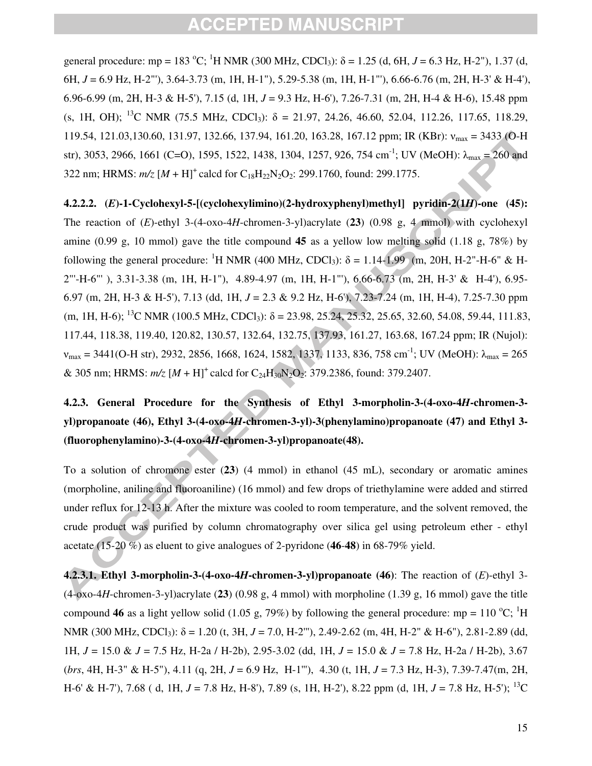general procedure: mp = 183 °C; <sup>1</sup>H NMR (300 MHz, CDCl<sub>3</sub>):  $\delta$  = 1.25 (d, 6H, J = 6.3 Hz, H-2"), 1.37 (d, 6H, *J* = 6.9 Hz, H-2"'), 3.64-3.73 (m, 1H, H-1"), 5.29-5.38 (m, 1H, H-1"'), 6.66-6.76 (m, 2H, H-3' & H-4'), 6.96-6.99 (m, 2H, H-3 & H-5'), 7.15 (d, 1H, *J* = 9.3 Hz, H-6'), 7.26-7.31 (m, 2H, H-4 & H-6), 15.48 ppm (s, 1H, OH); <sup>13</sup>C NMR (75.5 MHz, CDCl<sub>3</sub>):  $\delta = 21.97, 24.26, 46.60, 52.04, 112.26, 117.65, 118.29$ , 119.54, 121.03,130.60, 131.97, 132.66, 137.94, 161.20, 163.28, 167.12 ppm; IR (KBr): νmax = 3433 (O-H str), 3053, 2966, 1661 (C=O), 1595, 1522, 1438, 1304, 1257, 926, 754 cm<sup>-1</sup>; UV (MeOH):  $\lambda_{\text{max}} = 260$  and 322 nm; HRMS:  $m/z$   $[M + H]$ <sup>+</sup> calcd for C<sub>18</sub>H<sub>22</sub>N<sub>2</sub>O<sub>2</sub>: 299.1760, found: 299.1775.

**4.2.2.2. (***E***)-1-Cyclohexyl-5-[(cyclohexylimino)(2-hydroxyphenyl)methyl] pyridin-2(1***H***)-one (45):**  The reaction of (*E*)-ethyl 3-(4-oxo-4*H*-chromen-3-yl)acrylate (**23**) (0.98 g, 4 mmol) with cyclohexyl amine (0.99 g, 10 mmol) gave the title compound **45** as a yellow low melting solid (1.18 g, 78%) by following the general procedure: <sup>1</sup>H NMR (400 MHz, CDCl<sub>3</sub>):  $\delta = 1.14 \cdot 1.99$  (m, 20H, H-2"-H-6" & H-2"'-H-6"' ), 3.31-3.38 (m, 1H, H-1"), 4.89-4.97 (m, 1H, H-1"'), 6.66-6.73 (m, 2H, H-3' & H-4'), 6.95- 6.97 (m, 2H, H-3 & H-5'), 7.13 (dd, 1H, *J* = 2.3 & 9.2 Hz, H-6'), 7.23-7.24 (m, 1H, H-4), 7.25-7.30 ppm (m, 1H, H-6); <sup>13</sup>C NMR (100.5 MHz, CDCl<sub>3</sub>):  $\delta$  = 23.98, 25.24, 25.32, 25.65, 32.60, 54.08, 59.44, 111.83, 117.44, 118.38, 119.40, 120.82, 130.57, 132.64, 132.75, 137.93, 161.27, 163.68, 167.24 ppm; IR (Nujol):  $v_{\text{max}} = 3441(O-H str), 2932, 2856, 1668, 1624, 1582, 1337, 1133, 836, 758 \text{ cm}^{-1}$ ; UV (MeOH):  $\lambda_{\text{max}} = 265$ & 305 nm; HRMS:  $m/z$   $[M + H]$ <sup>+</sup> calcd for C<sub>24</sub>H<sub>30</sub>N<sub>2</sub>O<sub>2</sub>: 379.2386, found: 379.2407.

### **4.2.3. General Procedure for the Synthesis of Ethyl 3-morpholin-3-(4-oxo-4***H***-chromen-3 yl)propanoate (46), Ethyl 3-(4-oxo-4***H***-chromen-3-yl)-3(phenylamino)propanoate (47) and Ethyl 3- (fluorophenylamino)-3-(4-oxo-4***H***-chromen-3-yl)propanoate(48).**

To a solution of chromone ester (**23**) (4 mmol) in ethanol (45 mL), secondary or aromatic amines (morpholine, aniline and fluoroaniline) (16 mmol) and few drops of triethylamine were added and stirred under reflux for 12-13 h. After the mixture was cooled to room temperature, and the solvent removed, the crude product was purified by column chromatography over silica gel using petroleum ether - ethyl acetate (15-20 %) as eluent to give analogues of 2-pyridone (**46**-**48**) in 68-79% yield.

**4.2.3.1. Ethyl 3-morpholin-3-(4-oxo-4***H***-chromen-3-yl)propanoate (46)**: The reaction of (*E*)-ethyl 3- (4-oxo-4*H*-chromen-3-yl)acrylate (**23**) (0.98 g, 4 mmol) with morpholine (1.39 g, 16 mmol) gave the title compound 46 as a light yellow solid (1.05 g, 79%) by following the general procedure: mp = 110 °C; <sup>1</sup>H NMR (300 MHz, CDCl<sub>3</sub>): δ = 1.20 (t, 3H, *J* = 7.0, H-2"'), 2.49-2.62 (m, 4H, H-2" & H-6"), 2.81-2.89 (dd, 1H, *J* = 15.0 & *J* = 7.5 Hz, H-2a / H-2b), 2.95-3.02 (dd, 1H, *J* = 15.0 & *J* = 7.8 Hz, H-2a / H-2b), 3.67 (*brs*, 4H, H-3" & H-5"), 4.11 (q, 2H, *J* = 6.9 Hz, H-1'''), 4.30 (t, 1H, *J* = 7.3 Hz, H-3), 7.39-7.47(m, 2H, H-6' & H-7'), 7.68 ( d, 1H, *J* = 7.8 Hz, H-8'), 7.89 (s, 1H, H-2'), 8.22 ppm (d, 1H, *J* = 7.8 Hz, H-5'); 13C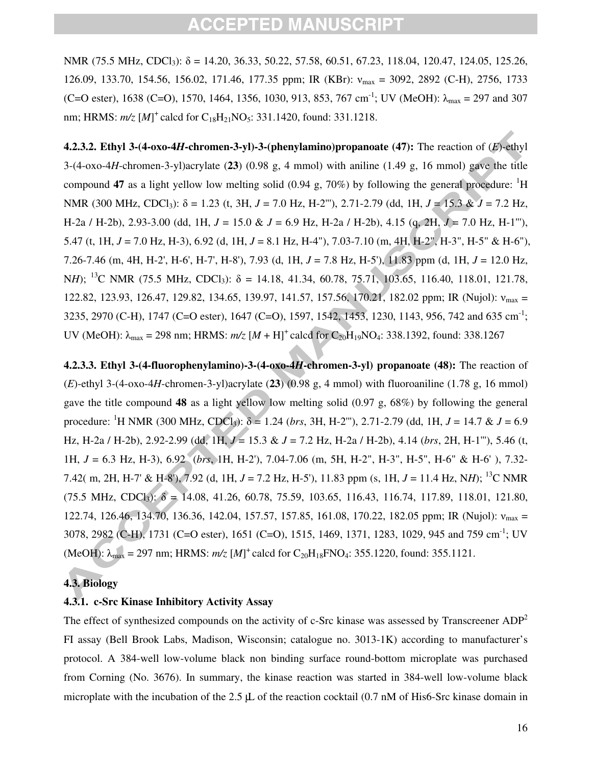NMR (75.5 MHz, CDCl<sub>3</sub>):  $\delta$  = 14.20, 36.33, 50.22, 57.58, 60.51, 67.23, 118.04, 120.47, 124.05, 125.26, 126.09, 133.70, 154.56, 156.02, 171.46, 177.35 ppm; IR (KBr): νmax = 3092, 2892 (C-H), 2756, 1733 (C=O ester), 1638 (C=O), 1570, 1464, 1356, 1030, 913, 853, 767 cm<sup>-1</sup>; UV (MeOH):  $\lambda_{\text{max}} = 297$  and 307 nm; HRMS:  $m/z$  [M]<sup>+</sup> calcd for C<sub>18</sub>H<sub>21</sub>NO<sub>5</sub>: 331.1420, found: 331.1218.

**4.2.3.2. Ethyl 3-(4-oxo-4***H***-chromen-3-yl)-3-(phenylamino)propanoate (47):** The reaction of (*E*)-ethyl 3-(4-oxo-4*H*-chromen-3-yl)acrylate (**23**) (0.98 g, 4 mmol) with aniline (1.49 g, 16 mmol) gave the title compound 47 as a light yellow low melting solid (0.94 g, 70%) by following the general procedure: <sup>1</sup>H NMR (300 MHz, CDCl3): δ = 1.23 (t, 3H, *J* = 7.0 Hz, H-2'''), 2.71-2.79 (dd, 1H, *J* = 15.3 & *J* = 7.2 Hz, H-2a / H-2b), 2.93-3.00 (dd, 1H, *J* = 15.0 & *J* = 6.9 Hz, H-2a / H-2b), 4.15 (q, 2H, *J* = 7.0 Hz, H-1'''), 5.47 (t, 1H, *J* = 7.0 Hz, H-3), 6.92 (d, 1H, *J* = 8.1 Hz, H-4"), 7.03-7.10 (m, 4H, H-2", H-3", H-5" & H-6"), 7.26-7.46 (m, 4H, H-2', H-6', H-7', H-8'), 7.93 (d, 1H, *J* = 7.8 Hz, H-5'), 11.83 ppm (d, 1H, *J* = 12.0 Hz, N*H*); <sup>13</sup>C NMR (75.5 MHz, CDCl<sub>3</sub>): δ = 14.18, 41.34, 60.78, 75.71, 103.65, 116.40, 118.01, 121.78, 122.82, 123.93, 126.47, 129.82, 134.65, 139.97, 141.57, 157.56, 170.21, 182.02 ppm; IR (Nujol): νmax = 3235, 2970 (C-H), 1747 (C=O ester), 1647 (C=O), 1597, 1542, 1453, 1230, 1143, 956, 742 and 635 cm<sup>-1</sup>; UV (MeOH):  $\lambda_{\text{max}} = 298 \text{ nm}$ ; HRMS:  $m/z$  [*M* + H]<sup>+</sup> calcd for C<sub>20</sub>H<sub>19</sub>NO<sub>4</sub>: 338.1392, found: 338.1267

**4.2.3.3. Ethyl 3-(4-fluorophenylamino)-3-(4-oxo-4***H***-chromen-3-yl) propanoate (48):** The reaction of (*E*)-ethyl 3-(4-oxo-4*H*-chromen-3-yl)acrylate (**23**) (0.98 g, 4 mmol) with fluoroaniline (1.78 g, 16 mmol) gave the title compound **48** as a light yellow low melting solid (0.97 g, 68%) by following the general procedure: <sup>1</sup> H NMR (300 MHz, CDCl3): δ = 1.24 (*brs*, 3H, H-2'''), 2.71-2.79 (dd, 1H, *J* = 14.7 & *J* = 6.9 Hz, H-2a / H-2b), 2.92-2.99 (dd, 1H, *J* = 15.3 & *J* = 7.2 Hz, H-2a / H-2b), 4.14 (*brs*, 2H, H-1'''), 5.46 (t, 1H, *J* = 6.3 Hz, H-3), 6.92 (*brs*, 1H, H-2'), 7.04-7.06 (m, 5H, H-2", H-3", H-5", H-6" & H-6' ), 7.32- 7.42( m, 2H, H-7' & H-8'), 7.92 (d, 1H, *J* = 7.2 Hz, H-5'), 11.83 ppm (s, 1H, *J* = 11.4 Hz, N*H*); 13C NMR  $(75.5 \text{ MHz}, \text{CDCl}_3)$ :  $\delta = 14.08, 41.26, 60.78, 75.59, 103.65, 116.43, 116.74, 117.89, 118.01, 121.80,$ 122.74, 126.46, 134.70, 136.36, 142.04, 157.57, 157.85, 161.08, 170.22, 182.05 ppm; IR (Nujol): νmax = 3078, 2982 (C-H), 1731 (C=O ester), 1651 (C=O), 1515, 1469, 1371, 1283, 1029, 945 and 759 cm-1; UV (MeOH):  $\lambda_{\text{max}} = 297 \text{ nm}$ ; HRMS:  $m/z$  [M]<sup>+</sup> calcd for C<sub>20</sub>H<sub>18</sub>FNO<sub>4</sub>: 355.1220, found: 355.1121.

### **4.3. Biology**

#### **4.3.1. c-Src Kinase Inhibitory Activity Assay**

The effect of synthesized compounds on the activity of c-Src kinase was assessed by Transcreener  $ADP<sup>2</sup>$ FI assay (Bell Brook Labs, Madison, Wisconsin; catalogue no. 3013-1K) according to manufacturer's protocol. A 384-well low-volume black non binding surface round-bottom microplate was purchased from Corning (No. 3676). In summary, the kinase reaction was started in 384-well low-volume black microplate with the incubation of the 2.5  $\mu$  of the reaction cocktail (0.7 nM of His6-Src kinase domain in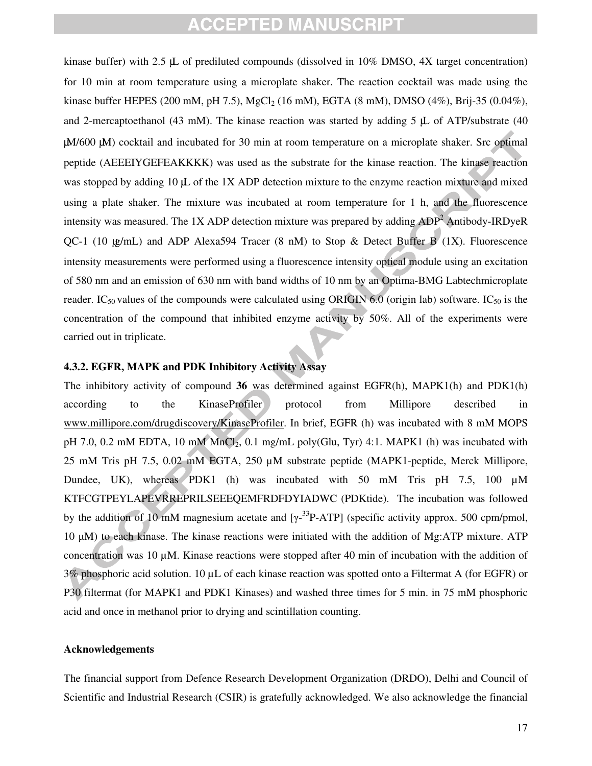kinase buffer) with 2.5 μL of prediluted compounds (dissolved in 10% DMSO, 4X target concentration) for 10 min at room temperature using a microplate shaker. The reaction cocktail was made using the kinase buffer HEPES (200 mM, pH 7.5), MgCl<sub>2</sub> (16 mM), EGTA (8 mM), DMSO (4%), Brij-35 (0.04%), and 2-mercaptoethanol (43 mM). The kinase reaction was started by adding 5  $\mu$  of ATP/substrate (40 μM/600 μM) cocktail and incubated for 30 min at room temperature on a microplate shaker. Src optimal peptide (AEEEIYGEFEAKKKK) was used as the substrate for the kinase reaction. The kinase reaction was stopped by adding 10 μL of the 1X ADP detection mixture to the enzyme reaction mixture and mixed using a plate shaker. The mixture was incubated at room temperature for 1 h, and the fluorescence intensity was measured. The 1X ADP detection mixture was prepared by adding  $ADP<sup>2</sup>$  Antibody-IRDyeR QC-1 (10 μg/mL) and ADP Alexa594 Tracer (8 nM) to Stop & Detect Buffer B (1X). Fluorescence intensity measurements were performed using a fluorescence intensity optical module using an excitation of 580 nm and an emission of 630 nm with band widths of 10 nm by an Optima-BMG Labtechmicroplate reader. IC<sub>50</sub> values of the compounds were calculated using ORIGIN 6.0 (origin lab) software. IC<sub>50</sub> is the concentration of the compound that inhibited enzyme activity by 50%. All of the experiments were carried out in triplicate.

#### **4.3.2. EGFR, MAPK and PDK Inhibitory Activity Assay**

The inhibitory activity of compound **36** was determined against EGFR(h), MAPK1(h) and PDK1(h) according to the KinaseProfiler protocol from Millipore described in www.millipore.com/drugdiscovery/KinaseProfiler. In brief, EGFR (h) was incubated with 8 mM MOPS pH 7.0, 0.2 mM EDTA, 10 mM  $MnCl<sub>2</sub>$ , 0.1 mg/mL poly(Glu, Tyr) 4:1. MAPK1 (h) was incubated with 25 mM Tris pH 7.5, 0.02 mM EGTA, 250 µM substrate peptide (MAPK1-peptide, Merck Millipore, Dundee, UK), whereas PDK1 (h) was incubated with 50 mM Tris pH 7.5, 100 µM KTFCGTPEYLAPEVRREPRILSEEEQEMFRDFDYIADWC (PDKtide). The incubation was followed by the addition of 10 mM magnesium acetate and  $[\gamma^{-33}P-ATP]$  (specific activity approx. 500 cpm/pmol, 10 μM) to each kinase. The kinase reactions were initiated with the addition of Mg:ATP mixture. ATP concentration was 10 µM. Kinase reactions were stopped after 40 min of incubation with the addition of 3% phosphoric acid solution. 10 µL of each kinase reaction was spotted onto a Filtermat A (for EGFR) or P30 filtermat (for MAPK1 and PDK1 Kinases) and washed three times for 5 min. in 75 mM phosphoric acid and once in methanol prior to drying and scintillation counting.

#### **Acknowledgements**

The financial support from Defence Research Development Organization (DRDO), Delhi and Council of Scientific and Industrial Research (CSIR) is gratefully acknowledged. We also acknowledge the financial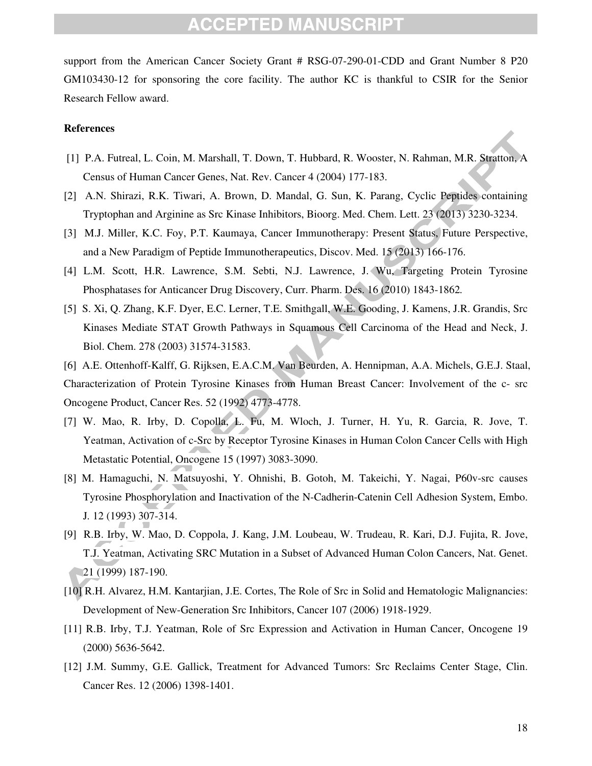support from the American Cancer Society Grant # RSG-07-290-01-CDD and Grant Number 8 P20 GM103430-12 for sponsoring the core facility. The author KC is thankful to CSIR for the Senior Research Fellow award.

#### **References**

- [1] P.A. Futreal, L. Coin, M. Marshall, T. Down, T. Hubbard, R. Wooster, N. Rahman, M.R. Stratton, A Census of Human Cancer Genes, Nat. Rev. Cancer 4 (2004) 177-183.
- [2] A.N. Shirazi, R.K. Tiwari, A. Brown, D. Mandal, G. Sun, K. Parang, Cyclic Peptides containing Tryptophan and Arginine as Src Kinase Inhibitors, Bioorg. Med. Chem. Lett. 23 (2013) 3230-3234.
- [3] M.J. Miller, K.C. Foy, P.T. Kaumaya, Cancer Immunotherapy: Present Status, Future Perspective, and a New Paradigm of Peptide Immunotherapeutics, Discov. Med. 15 (2013) 166-176.
- [4] L.M. Scott, H.R. Lawrence, S.M. Sebti, N.J. Lawrence, J. Wu, Targeting Protein Tyrosine Phosphatases for Anticancer Drug Discovery, Curr. Pharm. Des. 16 (2010) 1843-1862*.*
- [5] S. Xi, Q. Zhang, K.F. Dyer, E.C. Lerner, T.E. Smithgall, W.E. Gooding, J. Kamens, J.R. Grandis, Src Kinases Mediate STAT Growth Pathways in Squamous Cell Carcinoma of the Head and Neck, J. Biol. Chem. 278 (2003) 31574-31583.
- [6] A.E. Ottenhoff-Kalff, G. Rijksen, E.A.C.M. Van Beurden, A. Hennipman, A.A. Michels, G.E.J. Staal, Characterization of Protein Tyrosine Kinases from Human Breast Cancer: Involvement of the c- src Oncogene Product, Cancer Res. 52 (1992) 4773-4778.
- [7] W. Mao, R. Irby, D. Copolla, L. Fu, M. Wloch, J. Turner, H. Yu, R. Garcia, R. Jove, T. Yeatman, Activation of c-Src by Receptor Tyrosine Kinases in Human Colon Cancer Cells with High Metastatic Potential, Oncogene 15 (1997) 3083-3090.
- [8] M. Hamaguchi, N. Matsuyoshi, Y. Ohnishi, B. Gotoh, M. Takeichi, Y. Nagai, P60v-src causes Tyrosine Phosphorylation and Inactivation of the N-Cadherin-Catenin Cell Adhesion System, Embo. J*.* 12 (1993) 307-314.
- [9] R.B. Irby, W. Mao, D. Coppola, J. Kang, J.M. Loubeau, W. Trudeau, R. Kari, D.J. Fujita, R. Jove, T.J. Yeatman, Activating SRC Mutation in a Subset of Advanced Human Colon Cancers, Nat. Genet. 21 (1999) 187-190.
- [10] R.H. Alvarez, H.M. Kantarjian, J.E. Cortes, The Role of Src in Solid and Hematologic Malignancies: Development of New-Generation Src Inhibitors, Cancer 107 (2006) 1918-1929.
- [11] R.B. Irby, T.J. Yeatman, Role of Src Expression and Activation in Human Cancer, Oncogene 19 (2000) 5636-5642.
- [12] J.M. Summy, G.E. Gallick, Treatment for Advanced Tumors: Src Reclaims Center Stage, Clin. Cancer Res. 12 (2006) 1398-1401.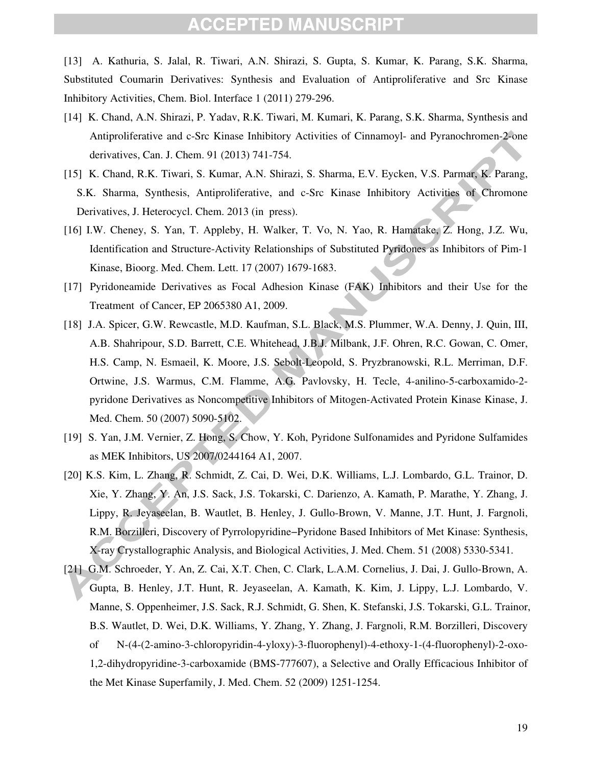[13] A. Kathuria, S. Jalal, R. Tiwari, A.N. Shirazi, S. Gupta, S. Kumar, K. Parang, S.K. Sharma, Substituted Coumarin Derivatives: Synthesis and Evaluation of Antiproliferative and Src Kinase Inhibitory Activities, Chem. Biol. Interface 1 (2011) 279-296.

- [14] K. Chand, A.N. Shirazi, P. Yadav, R.K. Tiwari, M. Kumari, K. Parang, S.K. Sharma, Synthesis and Antiproliferative and c-Src Kinase Inhibitory Activities of Cinnamoyl- and Pyranochromen-2-one derivatives, Can. J. Chem. 91 (2013) 741-754.
- [15] K. Chand, R.K. Tiwari, S. Kumar, A.N. Shirazi, S. Sharma, E.V. Eycken, V.S. Parmar, K. Parang, S.K. Sharma, Synthesis, Antiproliferative, and c-Src Kinase Inhibitory Activities of Chromone Derivatives, J. Heterocycl. Chem. 2013 (in press).
- [16] I.W. Cheney, S. Yan, T. Appleby, H. Walker, T. Vo, N. Yao, R. Hamatake, Z. Hong, J.Z. Wu, Identification and Structure-Activity Relationships of Substituted Pyridones as Inhibitors of Pim-1 Kinase, Bioorg. Med. Chem. Lett. 17 (2007) 1679-1683.
- [17] Pyridoneamide Derivatives as Focal Adhesion Kinase (FAK) Inhibitors and their Use for the Treatment of Cancer, EP 2065380 A1, 2009.
- [18] J.A. Spicer, G.W. Rewcastle, M.D. Kaufman, S.L. Black, M.S. Plummer, W.A. Denny, J. Quin, III, A.B. Shahripour, S.D. Barrett, C.E. Whitehead, J.B.J. Milbank, J.F. Ohren, R.C. Gowan, C. Omer, H.S. Camp, N. Esmaeil, K. Moore, J.S. Sebolt-Leopold, S. Pryzbranowski, R.L. Merriman, D.F. Ortwine, J.S. Warmus, C.M. Flamme, A.G. Pavlovsky, H. Tecle, 4-anilino-5-carboxamido-2 pyridone Derivatives as Noncompetitive Inhibitors of Mitogen-Activated Protein Kinase Kinase, J. Med. Chem. 50 (2007) 5090-5102.
- [19] S. Yan, J.M. Vernier, Z. Hong, S. Chow, Y. Koh, Pyridone Sulfonamides and Pyridone Sulfamides as MEK Inhibitors, US 2007/0244164 A1, 2007.
- [20] K.S. Kim, L. Zhang, R. Schmidt, Z. Cai, D. Wei, D.K. Williams, L.J. Lombardo, G.L. Trainor, D. Xie, Y. Zhang, Y. An, J.S. Sack, J.S. Tokarski, C. Darienzo, A. Kamath, P. Marathe, Y. Zhang, J. Lippy, R. Jeyaseelan, B. Wautlet, B. Henley, J. Gullo-Brown, V. Manne, J.T. Hunt, J. Fargnoli, R.M. Borzilleri, Discovery of Pyrrolopyridine−Pyridone Based Inhibitors of Met Kinase: Synthesis, X-ray Crystallographic Analysis, and Biological Activities, J. Med. Chem. 51 (2008) 5330-5341.
- [21] G.M. Schroeder, Y. An, Z. Cai, X.T. Chen, C. Clark, L.A.M. Cornelius, J. Dai, J. Gullo-Brown, A. Gupta, B. Henley, J.T. Hunt, R. Jeyaseelan, A. Kamath, K. Kim, J. Lippy, L.J. Lombardo, V. Manne, S. Oppenheimer, J.S. Sack, R.J. Schmidt, G. Shen, K. Stefanski, J.S. Tokarski, G.L. Trainor, B.S. Wautlet, D. Wei, D.K. Williams, Y. Zhang, Y. Zhang, J. Fargnoli, R.M. Borzilleri, Discovery of N-(4-(2-amino-3-chloropyridin-4-yloxy)-3-fluorophenyl)-4-ethoxy-1-(4-fluorophenyl)-2-oxo-1,2-dihydropyridine-3-carboxamide (BMS-777607), a Selective and Orally Efficacious Inhibitor of the Met Kinase Superfamily, J. Med. Chem. 52 (2009) 1251-1254.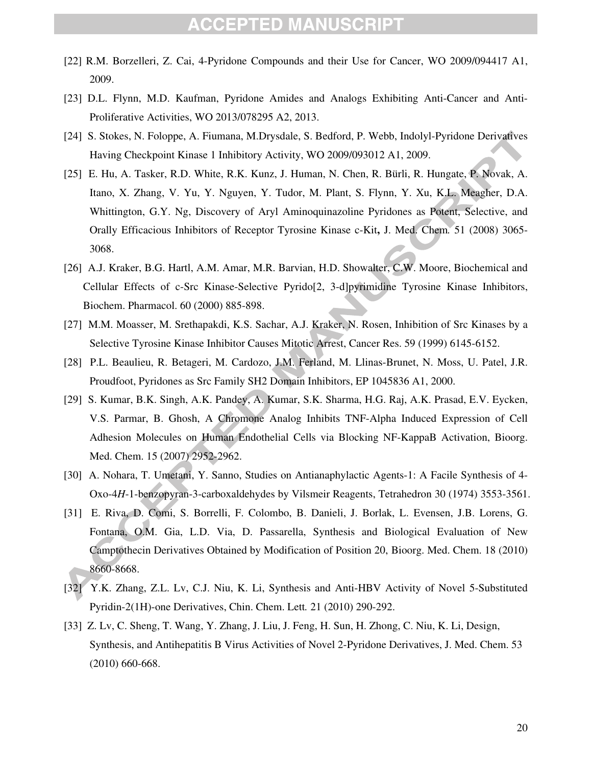- [22] R.M. Borzelleri, Z. Cai, 4-Pyridone Compounds and their Use for Cancer, WO 2009/094417 A1, 2009.
- [23] D.L. Flynn, M.D. Kaufman, Pyridone Amides and Analogs Exhibiting Anti-Cancer and Anti-Proliferative Activities, WO 2013/078295 A2, 2013.
- [24] S. Stokes, N. Foloppe, A. Fiumana, M.Drysdale, S. Bedford, P. Webb, Indolyl-Pyridone Derivatives Having Checkpoint Kinase 1 Inhibitory Activity, WO 2009/093012 A1, 2009.
- [25] E. Hu, A. Tasker, R.D. White, R.K. Kunz, J. Human, N. Chen, R. Bürli, R. Hungate, P. Novak, A. Itano, X. Zhang, V. Yu, Y. Nguyen, Y. Tudor, M. Plant, S. Flynn, Y. Xu, K.L. Meagher, D.A. Whittington, G.Y. Ng, Discovery of Aryl Aminoquinazoline Pyridones as Potent, Selective, and Orally Efficacious Inhibitors of Receptor Tyrosine Kinase c-Kit**,** J. Med. Chem*.* 51 (2008) 3065- 3068.
- [26] A.J. Kraker, B.G. Hartl, A.M. Amar, M.R. Barvian, H.D. Showalter, C.W. Moore, Biochemical and Cellular Effects of c-Src Kinase-Selective Pyrido[2, 3-d]pyrimidine Tyrosine Kinase Inhibitors, Biochem. Pharmacol. 60 (2000) 885-898.
- [27] M.M. Moasser, M. Srethapakdi, K.S. Sachar, A.J. Kraker, N. Rosen, Inhibition of Src Kinases by a Selective Tyrosine Kinase Inhibitor Causes Mitotic Arrest, Cancer Res. 59 (1999) 6145-6152.
- [28] P.L. Beaulieu, R. Betageri, M. Cardozo, J.M. Ferland, M. Llinas-Brunet, N. Moss, U. Patel, J.R. Proudfoot, Pyridones as Src Family SH2 Domain Inhibitors, EP 1045836 A1, 2000.
- [29] S. Kumar, B.K. Singh, A.K. Pandey, A. Kumar, S.K. Sharma, H.G. Raj, A.K. Prasad, E.V. Eycken, V.S. Parmar, B. Ghosh, A Chromone Analog Inhibits TNF-Alpha Induced Expression of Cell Adhesion Molecules on Human Endothelial Cells via Blocking NF-KappaB Activation, Bioorg. Med. Chem. 15 (2007) 2952-2962.
- [30] A. Nohara, T. Umetani, Y. Sanno, Studies on Antianaphylactic Agents-1: A Facile Synthesis of 4- Oxo-4*H*-1-benzopyran-3-carboxaldehydes by Vilsmeir Reagents, Tetrahedron 30 (1974) 3553-3561.
- [31] E. Riva, D. Comi, S. Borrelli, F. Colombo, B. Danieli, J. Borlak, L. Evensen, J.B. Lorens, G. Fontana, O.M. Gia, L.D. Via, D. Passarella, Synthesis and Biological Evaluation of New Camptothecin Derivatives Obtained by Modification of Position 20, Bioorg. Med. Chem. 18 (2010) 8660-8668.
- [32] Y.K. Zhang, Z.L. Lv, C.J. Niu, K. Li, Synthesis and Anti-HBV Activity of Novel 5-Substituted Pyridin-2(1H)-one Derivatives, Chin. Chem. Lett*.* 21 (2010) 290-292.
- [33] Z. Lv, C. Sheng, T. Wang, Y. Zhang, J. Liu, J. Feng, H. Sun, H. Zhong, C. Niu, K. Li, Design, Synthesis, and Antihepatitis B Virus Activities of Novel 2-Pyridone Derivatives, J. Med. Chem. 53 (2010) 660-668.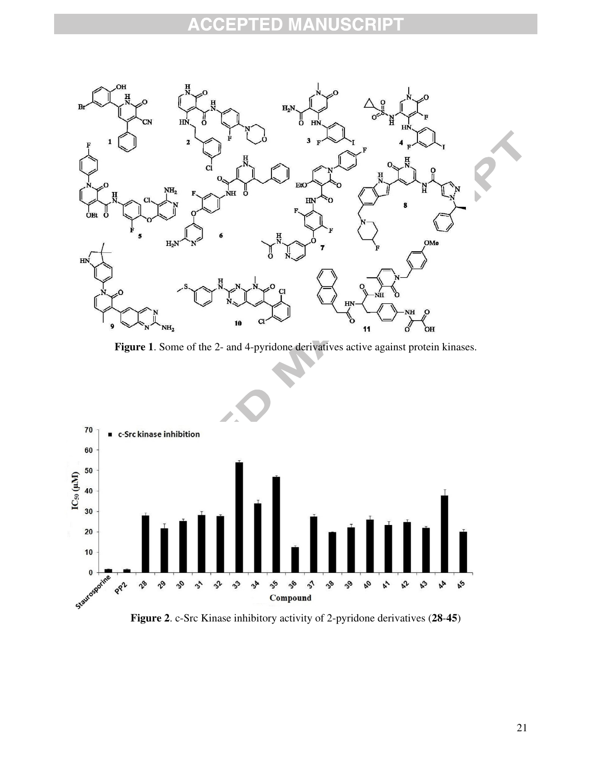#### ED CRIPT PП Œ C ٥  $\overline{\mathbb{A}}$



**Figure 1**. Some of the 2- and 4-pyridone derivatives active against protein kinases.



**Figure 2**. c-Src Kinase inhibitory activity of 2-pyridone derivatives (**28**-**45**)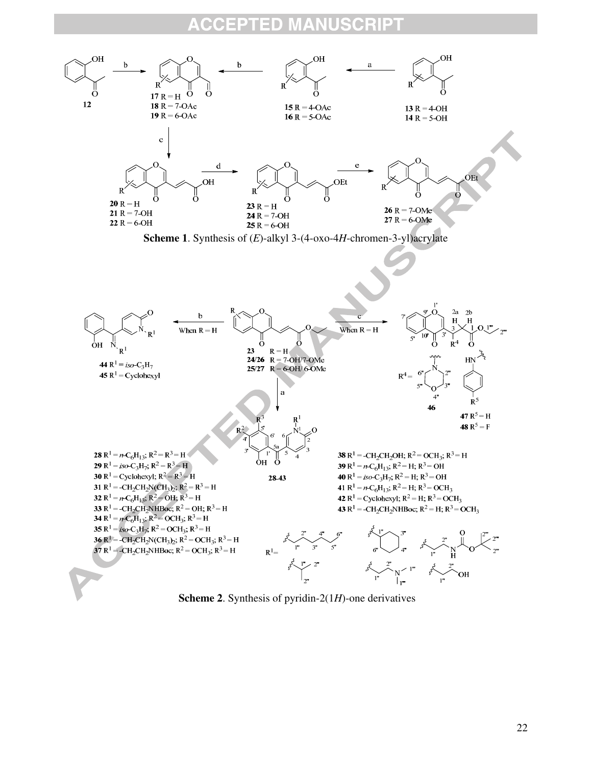#### i Piri ED CRIPT  $\bigcap$



 **Scheme 2**. Synthesis of pyridin-2(1*H*)-one derivatives